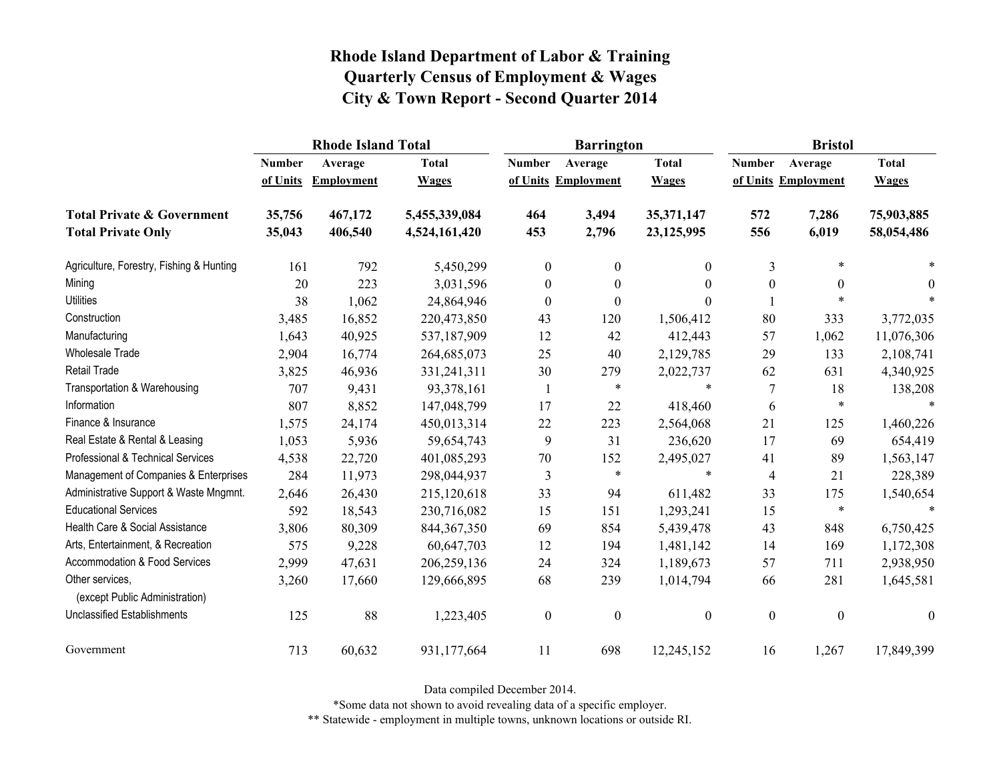|                                                   |               | <b>Rhode Island Total</b> |               |                  | <b>Barrington</b>   |                  | <b>Bristol</b>   |                     |                  |
|---------------------------------------------------|---------------|---------------------------|---------------|------------------|---------------------|------------------|------------------|---------------------|------------------|
|                                                   | <b>Number</b> | Average                   | <b>Total</b>  | <b>Number</b>    | Average             | <b>Total</b>     | <b>Number</b>    | Average             | <b>Total</b>     |
|                                                   | of Units      | <b>Employment</b>         | <b>Wages</b>  |                  | of Units Employment | <b>Wages</b>     |                  | of Units Employment | <b>Wages</b>     |
| <b>Total Private &amp; Government</b>             | 35,756        | 467,172                   | 5,455,339,084 | 464              | 3,494               | 35,371,147       | 572              | 7,286               | 75,903,885       |
| <b>Total Private Only</b>                         | 35,043        | 406,540                   | 4,524,161,420 | 453              | 2,796               | 23,125,995       | 556              | 6,019               | 58,054,486       |
| Agriculture, Forestry, Fishing & Hunting          | 161           | 792                       | 5,450,299     | $\boldsymbol{0}$ | $\boldsymbol{0}$    | 0                | 3                | *                   |                  |
| Mining                                            | 20            | 223                       | 3,031,596     | $\boldsymbol{0}$ | $\boldsymbol{0}$    | $\theta$         | $\boldsymbol{0}$ | $\theta$            | $\theta$         |
| <b>Utilities</b>                                  | 38            | 1,062                     | 24,864,946    | $\theta$         | $\overline{0}$      | 0                |                  | $\ast$              |                  |
| Construction                                      | 3,485         | 16,852                    | 220,473,850   | 43               | 120                 | 1,506,412        | 80               | 333                 | 3,772,035        |
| Manufacturing                                     | 1,643         | 40,925                    | 537,187,909   | 12               | 42                  | 412,443          | 57               | 1,062               | 11,076,306       |
| Wholesale Trade                                   | 2,904         | 16,774                    | 264,685,073   | 25               | 40                  | 2,129,785        | 29               | 133                 | 2,108,741        |
| <b>Retail Trade</b>                               | 3,825         | 46,936                    | 331,241,311   | 30               | 279                 | 2,022,737        | 62               | 631                 | 4,340,925        |
| Transportation & Warehousing                      | 707           | 9,431                     | 93,378,161    | 1                | $\ast$              | $\ast$           | $\tau$           | 18                  | 138,208          |
| Information                                       | 807           | 8,852                     | 147,048,799   | 17               | 22                  | 418,460          | 6                | $\ast$              | $\ast$           |
| Finance & Insurance                               | 1,575         | 24,174                    | 450,013,314   | 22               | 223                 | 2,564,068        | 21               | 125                 | 1,460,226        |
| Real Estate & Rental & Leasing                    | 1,053         | 5,936                     | 59,654,743    | 9                | 31                  | 236,620          | 17               | 69                  | 654,419          |
| Professional & Technical Services                 | 4,538         | 22,720                    | 401,085,293   | 70               | 152                 | 2,495,027        | 41               | 89                  | 1,563,147        |
| Management of Companies & Enterprises             | 284           | 11,973                    | 298,044,937   | $\mathfrak{Z}$   | $\ast$              | $\ast$           | $\overline{4}$   | 21                  | 228,389          |
| Administrative Support & Waste Mngmnt.            | 2,646         | 26,430                    | 215,120,618   | 33               | 94                  | 611,482          | 33               | 175                 | 1,540,654        |
| <b>Educational Services</b>                       | 592           | 18,543                    | 230,716,082   | 15               | 151                 | 1,293,241        | 15               | $\ast$              | $\ast$           |
| Health Care & Social Assistance                   | 3,806         | 80,309                    | 844, 367, 350 | 69               | 854                 | 5,439,478        | 43               | 848                 | 6,750,425        |
| Arts, Entertainment, & Recreation                 | 575           | 9,228                     | 60,647,703    | 12               | 194                 | 1,481,142        | 14               | 169                 | 1,172,308        |
| Accommodation & Food Services                     | 2,999         | 47,631                    | 206,259,136   | 24               | 324                 | 1,189,673        | 57               | 711                 | 2,938,950        |
| Other services,<br>(except Public Administration) | 3,260         | 17,660                    | 129,666,895   | 68               | 239                 | 1,014,794        | 66               | 281                 | 1,645,581        |
| <b>Unclassified Establishments</b>                | 125           | 88                        | 1,223,405     | $\boldsymbol{0}$ | $\boldsymbol{0}$    | $\boldsymbol{0}$ | $\boldsymbol{0}$ | $\boldsymbol{0}$    | $\boldsymbol{0}$ |
| Government                                        | 713           | 60,632                    | 931,177,664   | 11               | 698                 | 12,245,152       | 16               | 1,267               | 17,849,399       |

Data compiled December 2014.

\*Some data not shown to avoid revealing data of a specific employer.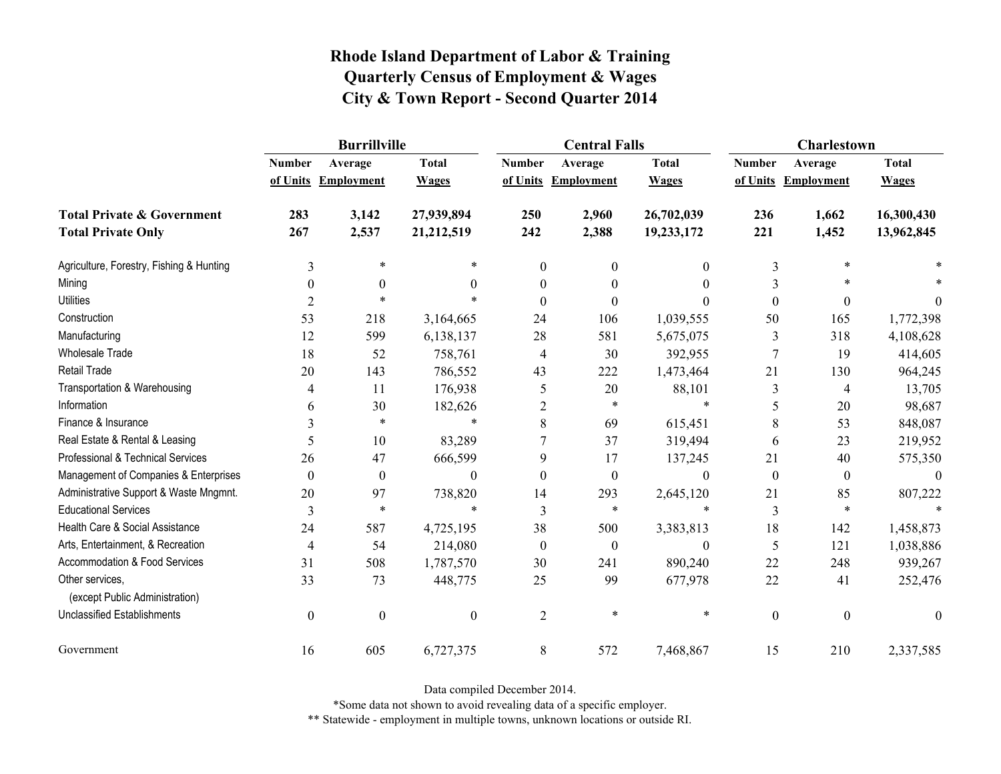|                                                   | <b>Burrillville</b>      |                     |                  |                  | <b>Central Falls</b> |                  | Charlestown      |                     |              |
|---------------------------------------------------|--------------------------|---------------------|------------------|------------------|----------------------|------------------|------------------|---------------------|--------------|
|                                                   | <b>Number</b>            | Average             | <b>Total</b>     | <b>Number</b>    | Average              | <b>Total</b>     | <b>Number</b>    | Average             | <b>Total</b> |
|                                                   |                          | of Units Employment | <b>Wages</b>     |                  | of Units Employment  | <b>Wages</b>     |                  | of Units Employment | <b>Wages</b> |
| <b>Total Private &amp; Government</b>             | 283                      | 3,142               | 27,939,894       | 250              | 2,960                | 26,702,039       | 236              | 1,662               | 16,300,430   |
| <b>Total Private Only</b>                         | 267                      | 2,537               | 21,212,519       | 242              | 2,388                | 19,233,172       | 221              | 1,452               | 13,962,845   |
| Agriculture, Forestry, Fishing & Hunting          | 3                        | $\ast$              | $\ast$           | $\theta$         | $\mathbf{0}$         | $\mathbf{0}$     | 3                | $\ast$              |              |
| Mining                                            | $\theta$                 | $\theta$            | 0                | $\theta$         | $\theta$             | 0                | 3                | *                   |              |
| <b>Utilities</b>                                  | 2                        | $\ast$              | $\star$          | $\Omega$         | $\theta$             | $\Omega$         | $\boldsymbol{0}$ | $\boldsymbol{0}$    | 0            |
| Construction                                      | 53                       | 218                 | 3,164,665        | 24               | 106                  | 1,039,555        | 50               | 165                 | 1,772,398    |
| Manufacturing                                     | 12                       | 599                 | 6,138,137        | 28               | 581                  | 5,675,075        | 3                | 318                 | 4,108,628    |
| <b>Wholesale Trade</b>                            | 18                       | 52                  | 758,761          | 4                | 30                   | 392,955          | 7                | 19                  | 414,605      |
| <b>Retail Trade</b>                               | 20                       | 143                 | 786,552          | 43               | 222                  | 1,473,464        | 21               | 130                 | 964,245      |
| Transportation & Warehousing                      | 4                        | 11                  | 176,938          | 5                | 20                   | 88,101           | 3                | 4                   | 13,705       |
| Information                                       | 6                        | 30                  | 182,626          | 2                | $\ast$               | $\ast$           | 5                | 20                  | 98,687       |
| Finance & Insurance                               | 3                        | $\ast$              | $\ast$           | 8                | 69                   | 615,451          | 8                | 53                  | 848,087      |
| Real Estate & Rental & Leasing                    | 5                        | 10                  | 83,289           |                  | 37                   | 319,494          | 6                | 23                  | 219,952      |
| Professional & Technical Services                 | 26                       | 47                  | 666,599          | 9                | 17                   | 137,245          | 21               | 40                  | 575,350      |
| Management of Companies & Enterprises             | $\theta$                 | $\theta$            | $\theta$         | $\Omega$         | $\mathbf{0}$         | $\theta$         | $\boldsymbol{0}$ | $\boldsymbol{0}$    | $\theta$     |
| Administrative Support & Waste Mngmnt.            | 20                       | 97                  | 738,820          | 14               | 293                  | 2,645,120        | 21               | 85                  | 807,222      |
| <b>Educational Services</b>                       | 3                        | $\ast$              | $\ast$           | 3                | $\ast$               | $\ast$           | 3                | $\ast$              |              |
| Health Care & Social Assistance                   | 24                       | 587                 | 4,725,195        | 38               | 500                  | 3,383,813        | 18               | 142                 | 1,458,873    |
| Arts, Entertainment, & Recreation                 | $\overline{\mathcal{A}}$ | 54                  | 214,080          | $\boldsymbol{0}$ | $\boldsymbol{0}$     | $\boldsymbol{0}$ | 5                | 121                 | 1,038,886    |
| Accommodation & Food Services                     | 31                       | 508                 | 1,787,570        | 30               | 241                  | 890,240          | 22               | 248                 | 939,267      |
| Other services,<br>(except Public Administration) | 33                       | 73                  | 448,775          | 25               | 99                   | 677,978          | 22               | 41                  | 252,476      |
| <b>Unclassified Establishments</b>                | $\boldsymbol{0}$         | $\boldsymbol{0}$    | $\boldsymbol{0}$ | $\overline{2}$   | $\ast$               | *                | $\boldsymbol{0}$ | $\boldsymbol{0}$    | $\theta$     |
| Government                                        | 16                       | 605                 | 6,727,375        | 8                | 572                  | 7,468,867        | 15               | 210                 | 2,337,585    |

Data compiled December 2014.

\*Some data not shown to avoid revealing data of a specific employer.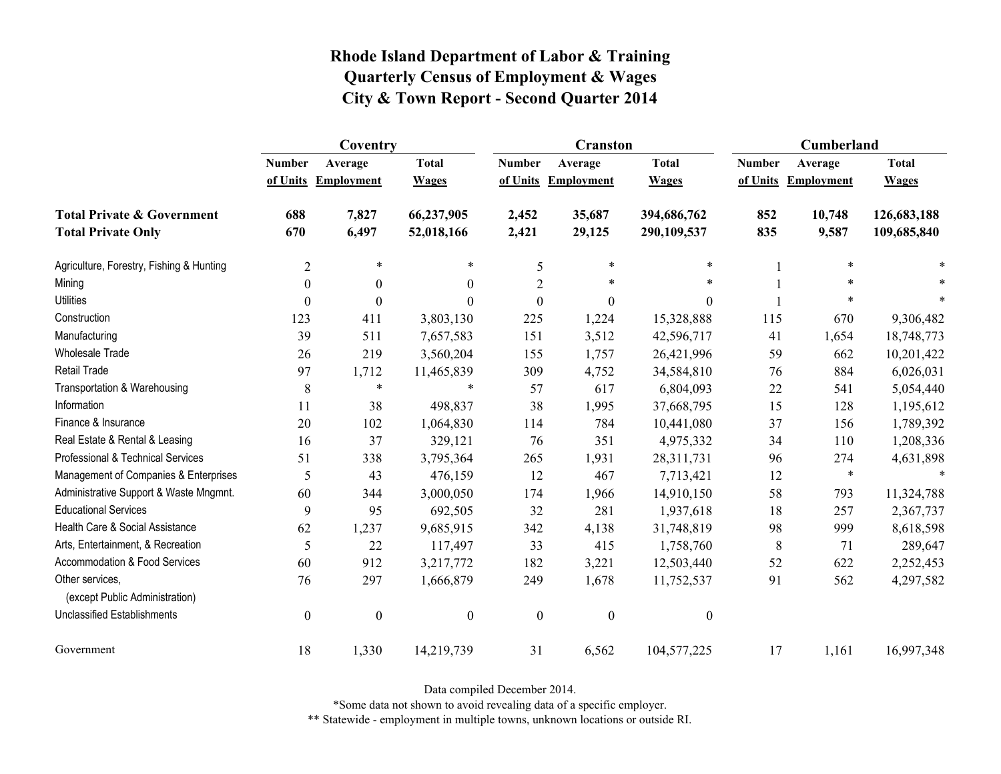|                                                   | Coventry         |                     |                  |                  | <b>Cranston</b>  |                  | Cumberland    |                     |              |
|---------------------------------------------------|------------------|---------------------|------------------|------------------|------------------|------------------|---------------|---------------------|--------------|
|                                                   | <b>Number</b>    | Average             | <b>Total</b>     | <b>Number</b>    | Average          | <b>Total</b>     | <b>Number</b> | Average             | <b>Total</b> |
|                                                   |                  | of Units Employment | <b>Wages</b>     | of Units         | Employment       | <b>Wages</b>     |               | of Units Employment | <b>Wages</b> |
| <b>Total Private &amp; Government</b>             | 688              | 7,827               | 66,237,905       | 2,452            | 35,687           | 394,686,762      | 852           | 10,748              | 126,683,188  |
| <b>Total Private Only</b>                         | 670              | 6,497               | 52,018,166       | 2,421            | 29,125           | 290,109,537      | 835           | 9,587               | 109,685,840  |
| Agriculture, Forestry, Fishing & Hunting          | $\overline{2}$   | $\ast$              | *                | 5                | $\ast$           | *                |               | $\ast$              |              |
| Mining                                            | $\theta$         | $\mathbf{0}$        | $\theta$         | $\overline{2}$   | $\ast$           | $\ast$           |               | *                   |              |
| <b>Utilities</b>                                  | $\mathbf{0}$     | $\boldsymbol{0}$    | $\theta$         | $\theta$         | $\boldsymbol{0}$ | $\Omega$         |               | *                   |              |
| Construction                                      | 123              | 411                 | 3,803,130        | 225              | 1,224            | 15,328,888       | 115           | 670                 | 9,306,482    |
| Manufacturing                                     | 39               | 511                 | 7,657,583        | 151              | 3,512            | 42,596,717       | 41            | 1,654               | 18,748,773   |
| <b>Wholesale Trade</b>                            | 26               | 219                 | 3,560,204        | 155              | 1,757            | 26,421,996       | 59            | 662                 | 10,201,422   |
| Retail Trade                                      | 97               | 1,712               | 11,465,839       | 309              | 4,752            | 34,584,810       | 76            | 884                 | 6,026,031    |
| Transportation & Warehousing                      | $\,$ 8 $\,$      | $\ast$              | $\ast$           | 57               | 617              | 6,804,093        | 22            | 541                 | 5,054,440    |
| Information                                       | 11               | 38                  | 498,837          | 38               | 1,995            | 37,668,795       | 15            | 128                 | 1,195,612    |
| Finance & Insurance                               | 20               | 102                 | 1,064,830        | 114              | 784              | 10,441,080       | 37            | 156                 | 1,789,392    |
| Real Estate & Rental & Leasing                    | 16               | 37                  | 329,121          | 76               | 351              | 4,975,332        | 34            | 110                 | 1,208,336    |
| Professional & Technical Services                 | 51               | 338                 | 3,795,364        | 265              | 1,931            | 28,311,731       | 96            | 274                 | 4,631,898    |
| Management of Companies & Enterprises             | 5                | 43                  | 476,159          | 12               | 467              | 7,713,421        | 12            | $\ast$              | $\ast$       |
| Administrative Support & Waste Mngmnt.            | 60               | 344                 | 3,000,050        | 174              | 1,966            | 14,910,150       | 58            | 793                 | 11,324,788   |
| <b>Educational Services</b>                       | 9                | 95                  | 692,505          | 32               | 281              | 1,937,618        | 18            | 257                 | 2,367,737    |
| Health Care & Social Assistance                   | 62               | 1,237               | 9,685,915        | 342              | 4,138            | 31,748,819       | 98            | 999                 | 8,618,598    |
| Arts, Entertainment, & Recreation                 | 5                | 22                  | 117,497          | 33               | 415              | 1,758,760        | 8             | 71                  | 289,647      |
| Accommodation & Food Services                     | 60               | 912                 | 3,217,772        | 182              | 3,221            | 12,503,440       | 52            | 622                 | 2,252,453    |
| Other services,<br>(except Public Administration) | 76               | 297                 | 1,666,879        | 249              | 1,678            | 11,752,537       | 91            | 562                 | 4,297,582    |
|                                                   |                  |                     |                  |                  |                  |                  |               |                     |              |
| <b>Unclassified Establishments</b>                | $\boldsymbol{0}$ | $\boldsymbol{0}$    | $\boldsymbol{0}$ | $\boldsymbol{0}$ | $\boldsymbol{0}$ | $\boldsymbol{0}$ |               |                     |              |
| Government                                        | 18               | 1,330               | 14,219,739       | 31               | 6,562            | 104,577,225      | 17            | 1,161               | 16,997,348   |

Data compiled December 2014.

\*Some data not shown to avoid revealing data of a specific employer.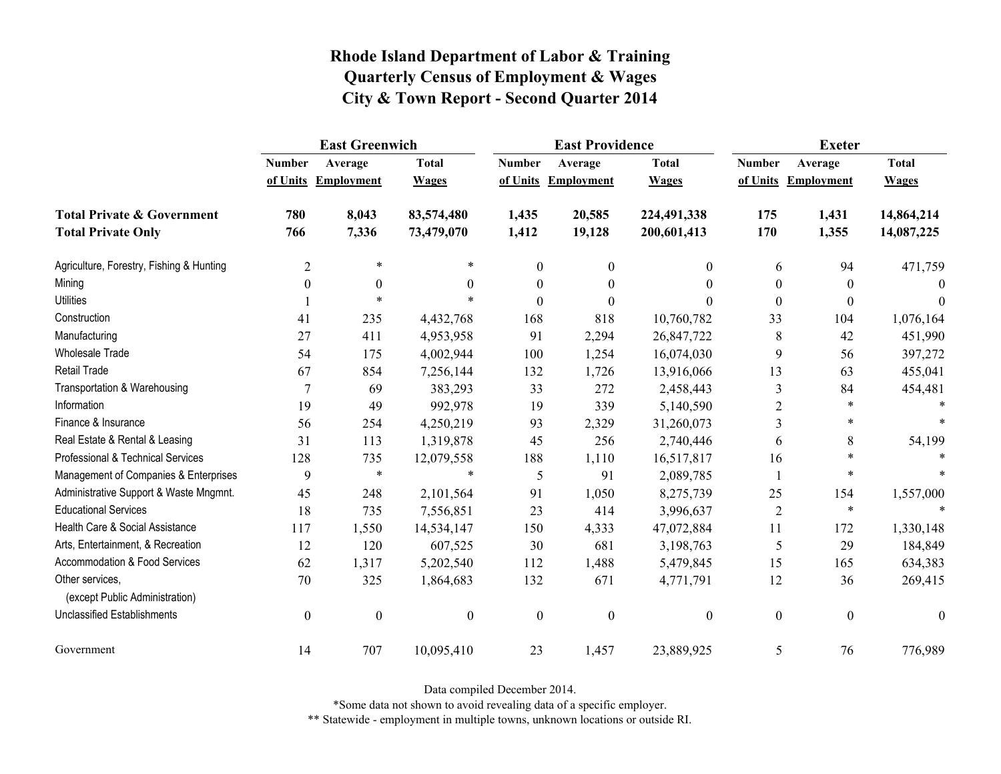|                                                   | <b>East Greenwich</b> |                     |                  |                  | <b>East Providence</b> |                  | <b>Exeter</b>    |                     |                  |
|---------------------------------------------------|-----------------------|---------------------|------------------|------------------|------------------------|------------------|------------------|---------------------|------------------|
|                                                   | <b>Number</b>         | Average             | <b>Total</b>     | <b>Number</b>    | Average                | <b>Total</b>     | <b>Number</b>    | Average             | <b>Total</b>     |
|                                                   |                       | of Units Employment | <b>Wages</b>     |                  | of Units Employment    | <b>Wages</b>     |                  | of Units Employment | <b>Wages</b>     |
| <b>Total Private &amp; Government</b>             | 780                   | 8,043               | 83,574,480       | 1,435            | 20,585                 | 224,491,338      | 175              | 1,431               | 14,864,214       |
| <b>Total Private Only</b>                         | 766                   | 7,336               | 73,479,070       | 1,412            | 19,128                 | 200,601,413      | 170              | 1,355               | 14,087,225       |
| Agriculture, Forestry, Fishing & Hunting          | $\overline{2}$        | $\ast$              | $\ast$           | $\boldsymbol{0}$ | $\theta$               | $\mathbf{0}$     | 6                | 94                  | 471,759          |
| Mining                                            | $\theta$              | $\boldsymbol{0}$    | $\theta$         | $\boldsymbol{0}$ | $\boldsymbol{0}$       | $\theta$         | $\theta$         | $\boldsymbol{0}$    | 0                |
| <b>Utilities</b>                                  |                       | $\ast$              |                  | $\theta$         | $\theta$               | $\Omega$         | $\theta$         | $\mathbf{0}$        | 0                |
| Construction                                      | 41                    | 235                 | 4,432,768        | 168              | 818                    | 10,760,782       | 33               | 104                 | 1,076,164        |
| Manufacturing                                     | 27                    | 411                 | 4,953,958        | 91               | 2,294                  | 26,847,722       | $\,8$            | 42                  | 451,990          |
| <b>Wholesale Trade</b>                            | 54                    | 175                 | 4,002,944        | 100              | 1,254                  | 16,074,030       | 9                | 56                  | 397,272          |
| <b>Retail Trade</b>                               | 67                    | 854                 | 7,256,144        | 132              | 1,726                  | 13,916,066       | 13               | 63                  | 455,041          |
| Transportation & Warehousing                      | 7                     | 69                  | 383,293          | 33               | 272                    | 2,458,443        | $\mathfrak{Z}$   | 84                  | 454,481          |
| Information                                       | 19                    | 49                  | 992,978          | 19               | 339                    | 5,140,590        | 2                | $\ast$              |                  |
| Finance & Insurance                               | 56                    | 254                 | 4,250,219        | 93               | 2,329                  | 31,260,073       | 3                | *                   |                  |
| Real Estate & Rental & Leasing                    | 31                    | 113                 | 1,319,878        | 45               | 256                    | 2,740,446        | 6                | 8                   | 54,199           |
| Professional & Technical Services                 | 128                   | 735                 | 12,079,558       | 188              | 1,110                  | 16,517,817       | 16               | $\ast$              |                  |
| Management of Companies & Enterprises             | 9                     | $\ast$              | $\ast$           | 5                | 91                     | 2,089,785        | -1               | $\ast$              |                  |
| Administrative Support & Waste Mngmnt.            | 45                    | 248                 | 2,101,564        | 91               | 1,050                  | 8,275,739        | 25               | 154                 | 1,557,000        |
| <b>Educational Services</b>                       | 18                    | 735                 | 7,556,851        | 23               | 414                    | 3,996,637        | $\overline{2}$   | $\ast$              |                  |
| Health Care & Social Assistance                   | 117                   | 1,550               | 14,534,147       | 150              | 4,333                  | 47,072,884       | 11               | 172                 | 1,330,148        |
| Arts, Entertainment, & Recreation                 | 12                    | 120                 | 607,525          | 30               | 681                    | 3,198,763        | 5                | 29                  | 184,849          |
| <b>Accommodation &amp; Food Services</b>          | 62                    | 1,317               | 5,202,540        | 112              | 1,488                  | 5,479,845        | 15               | 165                 | 634,383          |
| Other services,<br>(except Public Administration) | 70                    | 325                 | 1,864,683        | 132              | 671                    | 4,771,791        | 12               | 36                  | 269,415          |
| <b>Unclassified Establishments</b>                | $\boldsymbol{0}$      | $\boldsymbol{0}$    | $\boldsymbol{0}$ | $\boldsymbol{0}$ | $\boldsymbol{0}$       | $\boldsymbol{0}$ | $\boldsymbol{0}$ | $\boldsymbol{0}$    | $\boldsymbol{0}$ |
| Government                                        | 14                    | 707                 | 10,095,410       | 23               | 1,457                  | 23,889,925       | 5                | 76                  | 776,989          |

Data compiled December 2014.

\*Some data not shown to avoid revealing data of a specific employer.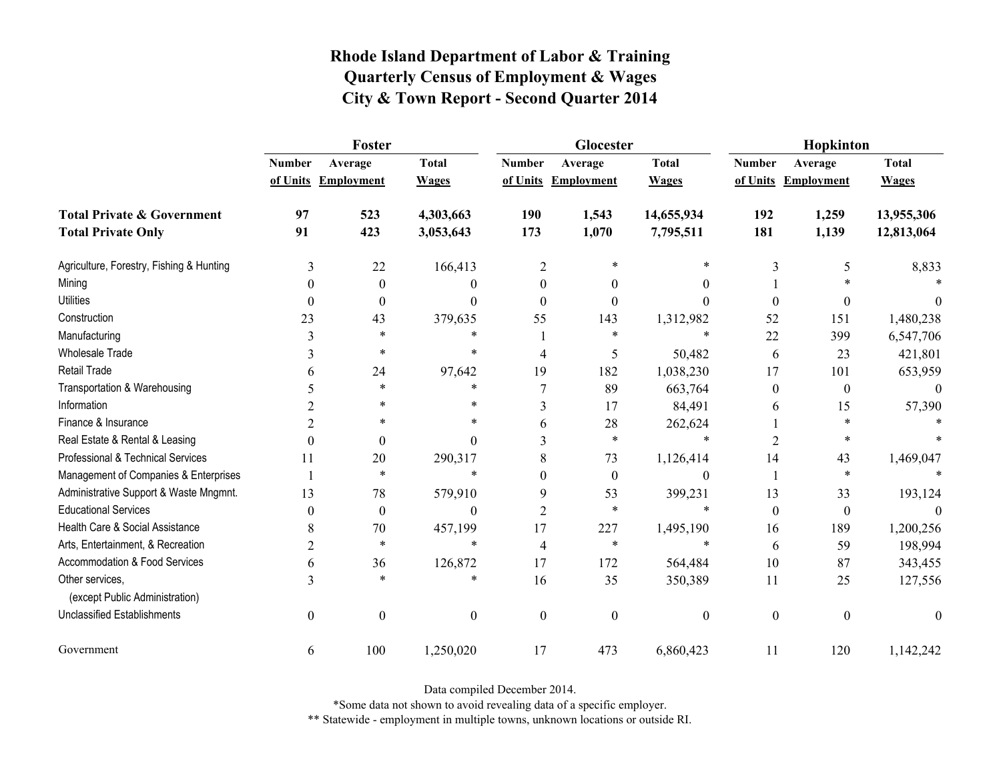|                                                   | Foster           |                     |                  |                | Glocester           |                  | Hopkinton        |                     |              |
|---------------------------------------------------|------------------|---------------------|------------------|----------------|---------------------|------------------|------------------|---------------------|--------------|
|                                                   | <b>Number</b>    | Average             | <b>Total</b>     | <b>Number</b>  | Average             | <b>Total</b>     | <b>Number</b>    | Average             | <b>Total</b> |
|                                                   |                  | of Units Employment | <b>Wages</b>     |                | of Units Employment | <b>Wages</b>     |                  | of Units Employment | <b>Wages</b> |
| <b>Total Private &amp; Government</b>             | 97               | 523                 | 4,303,663        | 190            | 1,543               | 14,655,934       | 192              | 1,259               | 13,955,306   |
| <b>Total Private Only</b>                         | 91               | 423                 | 3,053,643        | 173            | 1,070               | 7,795,511        | 181              | 1,139               | 12,813,064   |
| Agriculture, Forestry, Fishing & Hunting          | 3                | 22                  | 166,413          | $\overline{c}$ | *                   |                  | 3                | 5                   | 8,833        |
| Mining                                            | $\theta$         | $\theta$            | $\theta$         | $\Omega$       | $\theta$            | 0                |                  |                     |              |
| <b>Utilities</b>                                  | $\theta$         | $\boldsymbol{0}$    | $\theta$         | $\theta$       | 0                   | 0                | $\boldsymbol{0}$ | $\theta$            | $\theta$     |
| Construction                                      | 23               | 43                  | 379,635          | 55             | 143                 | 1,312,982        | 52               | 151                 | 1,480,238    |
| Manufacturing                                     | 3                | $\ast$              | $\ast$           |                | $\ast$              | $\ast$           | 22               | 399                 | 6,547,706    |
| <b>Wholesale Trade</b>                            | 3                | $\ast$              | $\ast$           | 4              | 5                   | 50,482           | 6                | 23                  | 421,801      |
| Retail Trade                                      | 6                | 24                  | 97,642           | 19             | 182                 | 1,038,230        | 17               | 101                 | 653,959      |
| Transportation & Warehousing                      | 5                | $\ast$              | $\ast$           |                | 89                  | 663,764          | $\boldsymbol{0}$ | $\boldsymbol{0}$    | $\theta$     |
| Information                                       |                  | $\ast$              | $\ast$           | 3              | 17                  | 84,491           | 6                | 15                  | 57,390       |
| Finance & Insurance                               | 2                | $\ast$              | $\ast$           | 6              | 28                  | 262,624          |                  | $\ast$              |              |
| Real Estate & Rental & Leasing                    | $\theta$         | $\boldsymbol{0}$    | $\theta$         | 3              | $\ast$              | $\ast$           | 2                | *                   |              |
| Professional & Technical Services                 | 11               | 20                  | 290,317          | 8              | 73                  | 1,126,414        | 14               | 43                  | 1,469,047    |
| Management of Companies & Enterprises             |                  | $\ast$              | $\ast$           | 0              | $\theta$            | $\boldsymbol{0}$ |                  | $\ast$              |              |
| Administrative Support & Waste Mngmnt.            | 13               | 78                  | 579,910          | 9              | 53                  | 399,231          | 13               | 33                  | 193,124      |
| <b>Educational Services</b>                       | $\theta$         | $\boldsymbol{0}$    | $\theta$         | 2              | $\ast$              | $\ast$           | $\boldsymbol{0}$ | $\boldsymbol{0}$    |              |
| Health Care & Social Assistance                   | 8                | 70                  | 457,199          | 17             | 227                 | 1,495,190        | 16               | 189                 | 1,200,256    |
| Arts, Entertainment, & Recreation                 | $\overline{2}$   | $\ast$              | $\ast$           | 4              | $\ast$              | $\ast$           | 6                | 59                  | 198,994      |
| Accommodation & Food Services                     | 6                | 36                  | 126,872          | 17             | 172                 | 564,484          | 10               | 87                  | 343,455      |
| Other services,<br>(except Public Administration) | 3                | $\ast$              | $\ast$           | 16             | 35                  | 350,389          | 11               | 25                  | 127,556      |
| <b>Unclassified Establishments</b>                | $\boldsymbol{0}$ | $\boldsymbol{0}$    | $\boldsymbol{0}$ | $\mathbf{0}$   | $\mathbf{0}$        | $\boldsymbol{0}$ | $\boldsymbol{0}$ | $\boldsymbol{0}$    | $\theta$     |
| Government                                        | 6                | 100                 | 1,250,020        | 17             | 473                 | 6,860,423        | 11               | 120                 | 1,142,242    |

Data compiled December 2014.

\*Some data not shown to avoid revealing data of a specific employer.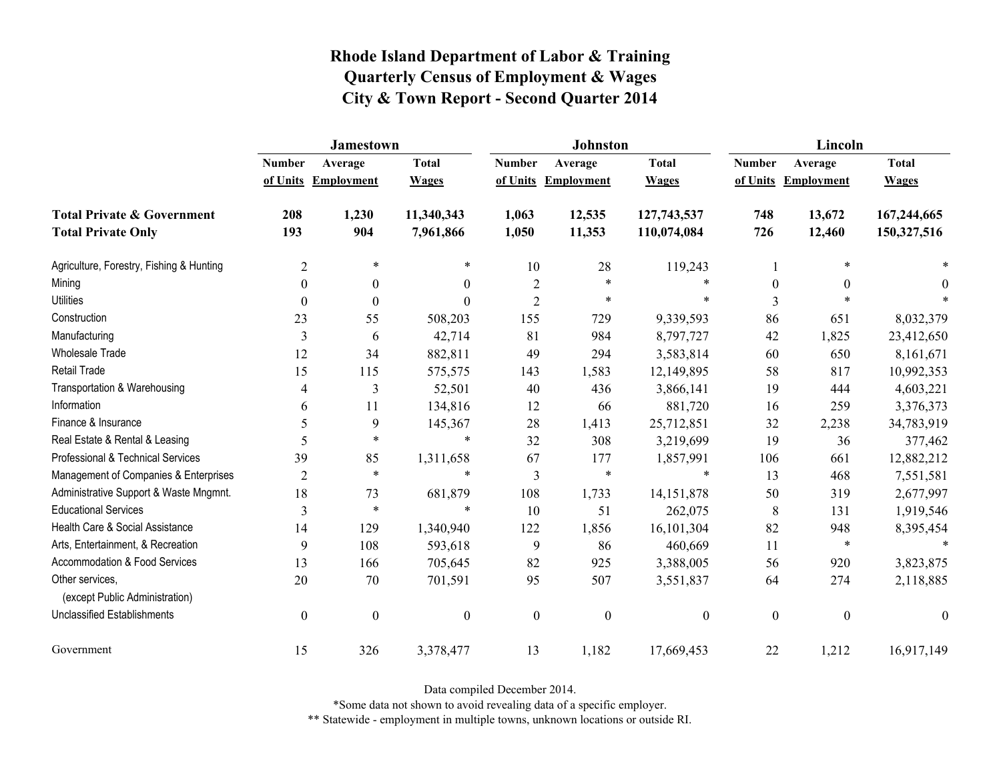|                                                   | <b>Jamestown</b> |                     |                  |                  | <b>Johnston</b>   |                  | Lincoln          |                     |                  |
|---------------------------------------------------|------------------|---------------------|------------------|------------------|-------------------|------------------|------------------|---------------------|------------------|
|                                                   | <b>Number</b>    | Average             | <b>Total</b>     | <b>Number</b>    | Average           | <b>Total</b>     | <b>Number</b>    | Average             | <b>Total</b>     |
|                                                   |                  | of Units Employment | <b>Wages</b>     | of Units         | <b>Employment</b> | <b>Wages</b>     |                  | of Units Employment | <b>Wages</b>     |
| <b>Total Private &amp; Government</b>             | 208              | 1,230               | 11,340,343       | 1,063            | 12,535            | 127,743,537      | 748              | 13,672              | 167,244,665      |
| <b>Total Private Only</b>                         | 193              | 904                 | 7,961,866        | 1,050            | 11,353            | 110,074,084      | 726              | 12,460              | 150,327,516      |
| Agriculture, Forestry, Fishing & Hunting          | $\overline{2}$   | $\ast$              | $\ast$           | 10               | 28                | 119,243          |                  | *                   |                  |
| Mining                                            | $\theta$         | $\theta$            | 0                | $\overline{2}$   | $\ast$            | $\ast$           | 0                | $\theta$            | 0                |
| <b>Utilities</b>                                  | $\boldsymbol{0}$ | $\theta$            | $\theta$         | $\overline{2}$   | $\ast$            | $\ast$           | 3                | $\ast$              |                  |
| Construction                                      | 23               | 55                  | 508,203          | 155              | 729               | 9,339,593        | 86               | 651                 | 8,032,379        |
| Manufacturing                                     | $\overline{3}$   | 6                   | 42,714           | 81               | 984               | 8,797,727        | 42               | 1,825               | 23,412,650       |
| Wholesale Trade                                   | 12               | 34                  | 882,811          | 49               | 294               | 3,583,814        | 60               | 650                 | 8,161,671        |
| <b>Retail Trade</b>                               | 15               | 115                 | 575,575          | 143              | 1,583             | 12,149,895       | 58               | 817                 | 10,992,353       |
| Transportation & Warehousing                      | 4                | 3                   | 52,501           | 40               | 436               | 3,866,141        | 19               | 444                 | 4,603,221        |
| Information                                       | 6                | 11                  | 134,816          | 12               | 66                | 881,720          | 16               | 259                 | 3,376,373        |
| Finance & Insurance                               | 5                | 9                   | 145,367          | 28               | 1,413             | 25,712,851       | 32               | 2,238               | 34,783,919       |
| Real Estate & Rental & Leasing                    | 5                | $\ast$              | $\ast$           | 32               | 308               | 3,219,699        | 19               | 36                  | 377,462          |
| Professional & Technical Services                 | 39               | 85                  | 1,311,658        | 67               | 177               | 1,857,991        | 106              | 661                 | 12,882,212       |
| Management of Companies & Enterprises             | $\overline{2}$   | $\ast$              | $\ast$           | 3                | $\ast$            | $\ast$           | 13               | 468                 | 7,551,581        |
| Administrative Support & Waste Mngmnt.            | 18               | 73                  | 681,879          | 108              | 1,733             | 14, 151, 878     | 50               | 319                 | 2,677,997        |
| <b>Educational Services</b>                       | 3                | $\ast$              | $\ast$           | 10               | 51                | 262,075          | 8                | 131                 | 1,919,546        |
| Health Care & Social Assistance                   | 14               | 129                 | 1,340,940        | 122              | 1,856             | 16,101,304       | 82               | 948                 | 8,395,454        |
| Arts, Entertainment, & Recreation                 | 9                | 108                 | 593,618          | 9                | 86                | 460,669          | 11               | $\ast$              | $\ast$           |
| Accommodation & Food Services                     | 13               | 166                 | 705,645          | 82               | 925               | 3,388,005        | 56               | 920                 | 3,823,875        |
| Other services,<br>(except Public Administration) | 20               | 70                  | 701,591          | 95               | 507               | 3,551,837        | 64               | 274                 | 2,118,885        |
| <b>Unclassified Establishments</b>                | $\boldsymbol{0}$ | $\boldsymbol{0}$    | $\boldsymbol{0}$ | $\boldsymbol{0}$ | $\boldsymbol{0}$  | $\boldsymbol{0}$ | $\boldsymbol{0}$ | $\boldsymbol{0}$    | $\boldsymbol{0}$ |
| Government                                        | 15               | 326                 | 3,378,477        | 13               | 1,182             | 17,669,453       | 22               | 1,212               | 16,917,149       |

Data compiled December 2014.

\*Some data not shown to avoid revealing data of a specific employer.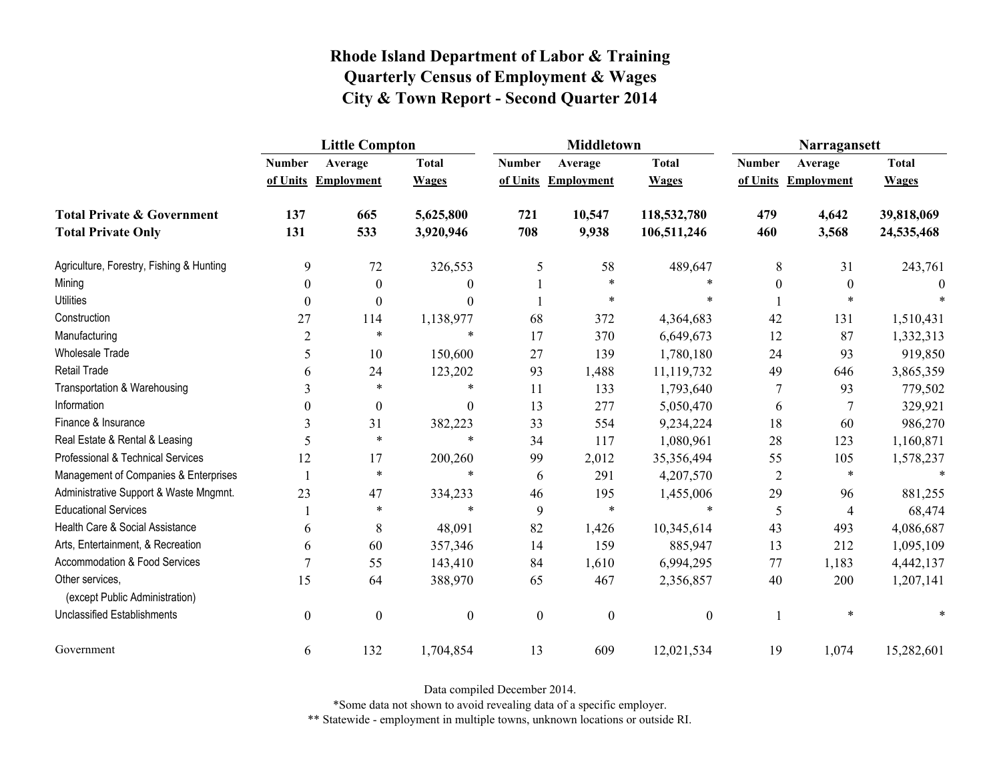|                                                   | <b>Little Compton</b> |                   |                  |                  | <b>Middletown</b>   |                  | Narragansett     |                     |              |
|---------------------------------------------------|-----------------------|-------------------|------------------|------------------|---------------------|------------------|------------------|---------------------|--------------|
|                                                   | <b>Number</b>         | Average           | <b>Total</b>     | <b>Number</b>    | Average             | <b>Total</b>     | <b>Number</b>    | Average             | <b>Total</b> |
|                                                   | of Units              | <b>Employment</b> | <b>Wages</b>     |                  | of Units Employment | <b>Wages</b>     |                  | of Units Employment | <b>Wages</b> |
| <b>Total Private &amp; Government</b>             | 137                   | 665               | 5,625,800        | 721              | 10,547              | 118,532,780      | 479              | 4,642               | 39,818,069   |
| <b>Total Private Only</b>                         | 131                   | 533               | 3,920,946        | 708              | 9,938               | 106,511,246      | 460              | 3,568               | 24,535,468   |
| Agriculture, Forestry, Fishing & Hunting          | 9                     | 72                | 326,553          | 5                | 58                  | 489,647          | 8                | 31                  | 243,761      |
| Mining                                            | $\theta$              | $\boldsymbol{0}$  | 0                |                  | $\ast$              |                  | $\boldsymbol{0}$ | $\boldsymbol{0}$    | $\Omega$     |
| <b>Utilities</b>                                  | $\Omega$              | $\boldsymbol{0}$  | $\Omega$         |                  | $\ast$              |                  |                  | $\ast$              |              |
| Construction                                      | 27                    | 114               | 1,138,977        | 68               | 372                 | 4,364,683        | 42               | 131                 | 1,510,431    |
| Manufacturing                                     | $\sqrt{2}$            | $\ast$            | $\ast$           | 17               | 370                 | 6,649,673        | 12               | 87                  | 1,332,313    |
| Wholesale Trade                                   | 5                     | 10                | 150,600          | 27               | 139                 | 1,780,180        | 24               | 93                  | 919,850      |
| Retail Trade                                      | 6                     | 24                | 123,202          | 93               | 1,488               | 11,119,732       | 49               | 646                 | 3,865,359    |
| Transportation & Warehousing                      | $\overline{3}$        | $\ast$            | $\ast$           | 11               | 133                 | 1,793,640        | 7                | 93                  | 779,502      |
| Information                                       | 0                     | $\boldsymbol{0}$  | $\theta$         | 13               | 277                 | 5,050,470        | 6                | 7                   | 329,921      |
| Finance & Insurance                               | 3                     | 31                | 382,223          | 33               | 554                 | 9,234,224        | 18               | 60                  | 986,270      |
| Real Estate & Rental & Leasing                    | 5                     | $\ast$            | $\ast$           | 34               | 117                 | 1,080,961        | 28               | 123                 | 1,160,871    |
| Professional & Technical Services                 | 12                    | 17                | 200,260          | 99               | 2,012               | 35,356,494       | 55               | 105                 | 1,578,237    |
| Management of Companies & Enterprises             |                       | $\ast$            | $\ast$           | 6                | 291                 | 4,207,570        | $\overline{2}$   | $\ast$              | $\ast$       |
| Administrative Support & Waste Mngmnt.            | 23                    | 47                | 334,233          | 46               | 195                 | 1,455,006        | 29               | 96                  | 881,255      |
| <b>Educational Services</b>                       |                       | $\ast$            | $\ast$           | 9                | $\ast$              | $\ast$           | 5                | 4                   | 68,474       |
| Health Care & Social Assistance                   | 6                     | $\,8\,$           | 48,091           | 82               | 1,426               | 10,345,614       | 43               | 493                 | 4,086,687    |
| Arts, Entertainment, & Recreation                 | 6                     | 60                | 357,346          | 14               | 159                 | 885,947          | 13               | 212                 | 1,095,109    |
| <b>Accommodation &amp; Food Services</b>          | 7                     | 55                | 143,410          | 84               | 1,610               | 6,994,295        | 77               | 1,183               | 4,442,137    |
| Other services,<br>(except Public Administration) | 15                    | 64                | 388,970          | 65               | 467                 | 2,356,857        | 40               | 200                 | 1,207,141    |
| <b>Unclassified Establishments</b>                | $\boldsymbol{0}$      | $\boldsymbol{0}$  | $\boldsymbol{0}$ | $\boldsymbol{0}$ | $\boldsymbol{0}$    | $\boldsymbol{0}$ |                  | $\ast$              |              |
| Government                                        | 6                     | 132               | 1,704,854        | 13               | 609                 | 12,021,534       | 19               | 1,074               | 15,282,601   |

Data compiled December 2014.

\*Some data not shown to avoid revealing data of a specific employer.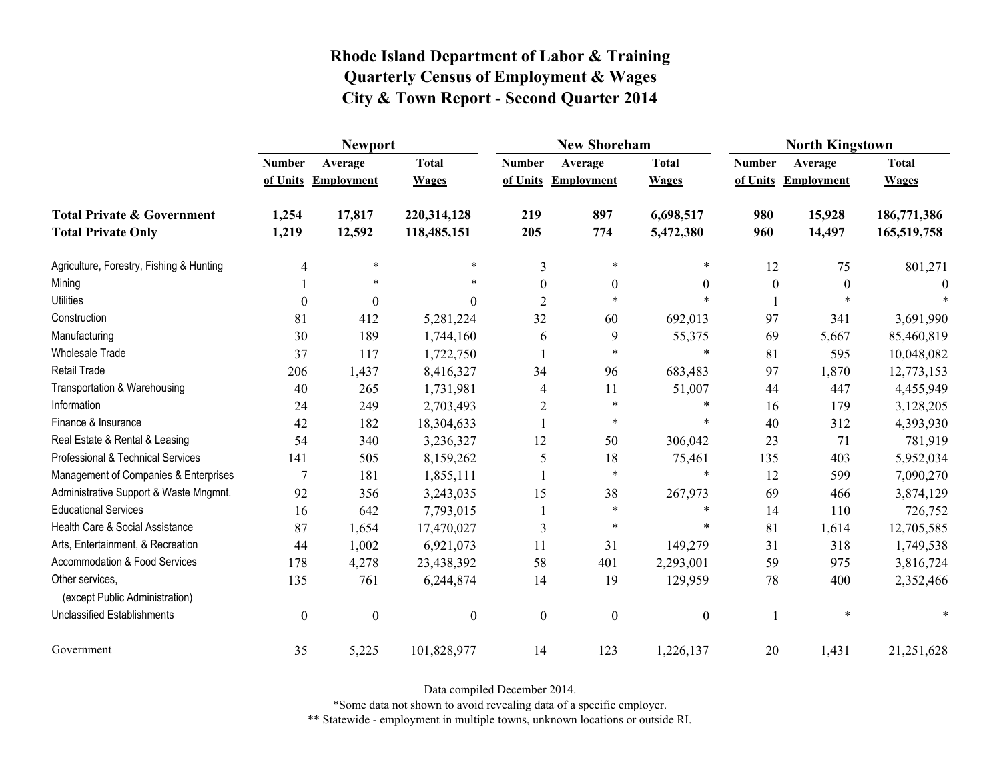|                                                   | <b>Newport</b>   |                     |                  |                  | <b>New Shoreham</b> |                  | <b>North Kingstown</b> |                     |              |
|---------------------------------------------------|------------------|---------------------|------------------|------------------|---------------------|------------------|------------------------|---------------------|--------------|
|                                                   | <b>Number</b>    | Average             | <b>Total</b>     | <b>Number</b>    | Average             | <b>Total</b>     | <b>Number</b>          | Average             | <b>Total</b> |
|                                                   |                  | of Units Employment | <b>Wages</b>     |                  | of Units Employment | <b>Wages</b>     |                        | of Units Employment | <b>Wages</b> |
| <b>Total Private &amp; Government</b>             | 1,254            | 17,817              | 220,314,128      | 219              | 897                 | 6,698,517        | 980                    | 15,928              | 186,771,386  |
| <b>Total Private Only</b>                         | 1,219            | 12,592              | 118,485,151      | 205              | 774                 | 5,472,380        | 960                    | 14,497              | 165,519,758  |
| Agriculture, Forestry, Fishing & Hunting          | 4                | $\ast$              | $\ast$           | 3                | *                   | $\ast$           | 12                     | 75                  | 801,271      |
| Mining                                            |                  | $\ast$              | $\ast$           | $\theta$         | $\theta$            | $\boldsymbol{0}$ | $\boldsymbol{0}$       | $\theta$            |              |
| <b>Utilities</b>                                  | $\theta$         | $\boldsymbol{0}$    | $\boldsymbol{0}$ | $\overline{2}$   | $\ast$              | $\ast$           |                        | $\ast$              |              |
| Construction                                      | 81               | 412                 | 5,281,224        | 32               | 60                  | 692,013          | 97                     | 341                 | 3,691,990    |
| Manufacturing                                     | 30               | 189                 | 1,744,160        | 6                | 9                   | 55,375           | 69                     | 5,667               | 85,460,819   |
| Wholesale Trade                                   | 37               | 117                 | 1,722,750        |                  | $\ast$              | $\ast$           | 81                     | 595                 | 10,048,082   |
| <b>Retail Trade</b>                               | 206              | 1,437               | 8,416,327        | 34               | 96                  | 683,483          | 97                     | 1,870               | 12,773,153   |
| Transportation & Warehousing                      | 40               | 265                 | 1,731,981        | 4                | 11                  | 51,007           | 44                     | 447                 | 4,455,949    |
| Information                                       | 24               | 249                 | 2,703,493        | $\overline{2}$   | $\ast$              | $\ast$           | 16                     | 179                 | 3,128,205    |
| Finance & Insurance                               | 42               | 182                 | 18,304,633       |                  | $\ast$              | *                | 40                     | 312                 | 4,393,930    |
| Real Estate & Rental & Leasing                    | 54               | 340                 | 3,236,327        | 12               | 50                  | 306,042          | 23                     | 71                  | 781,919      |
| Professional & Technical Services                 | 141              | 505                 | 8,159,262        | 5                | 18                  | 75,461           | 135                    | 403                 | 5,952,034    |
| Management of Companies & Enterprises             | 7                | 181                 | 1,855,111        |                  | $\ast$              | $\ast$           | 12                     | 599                 | 7,090,270    |
| Administrative Support & Waste Mngmnt.            | 92               | 356                 | 3,243,035        | 15               | 38                  | 267,973          | 69                     | 466                 | 3,874,129    |
| <b>Educational Services</b>                       | 16               | 642                 | 7,793,015        |                  | $\ast$              | $\ast$           | 14                     | 110                 | 726,752      |
| Health Care & Social Assistance                   | 87               | 1,654               | 17,470,027       | 3                | $\ast$              | $\ast$           | 81                     | 1,614               | 12,705,585   |
| Arts, Entertainment, & Recreation                 | 44               | 1,002               | 6,921,073        | 11               | 31                  | 149,279          | 31                     | 318                 | 1,749,538    |
| Accommodation & Food Services                     | 178              | 4,278               | 23,438,392       | 58               | 401                 | 2,293,001        | 59                     | 975                 | 3,816,724    |
| Other services,<br>(except Public Administration) | 135              | 761                 | 6,244,874        | 14               | 19                  | 129,959          | 78                     | 400                 | 2,352,466    |
| <b>Unclassified Establishments</b>                | $\boldsymbol{0}$ | $\boldsymbol{0}$    | $\boldsymbol{0}$ | $\boldsymbol{0}$ | $\boldsymbol{0}$    | $\boldsymbol{0}$ |                        | $\ast$              | $\ast$       |
| Government                                        | 35               | 5,225               | 101,828,977      | 14               | 123                 | 1,226,137        | 20                     | 1,431               | 21,251,628   |

Data compiled December 2014.

\*Some data not shown to avoid revealing data of a specific employer.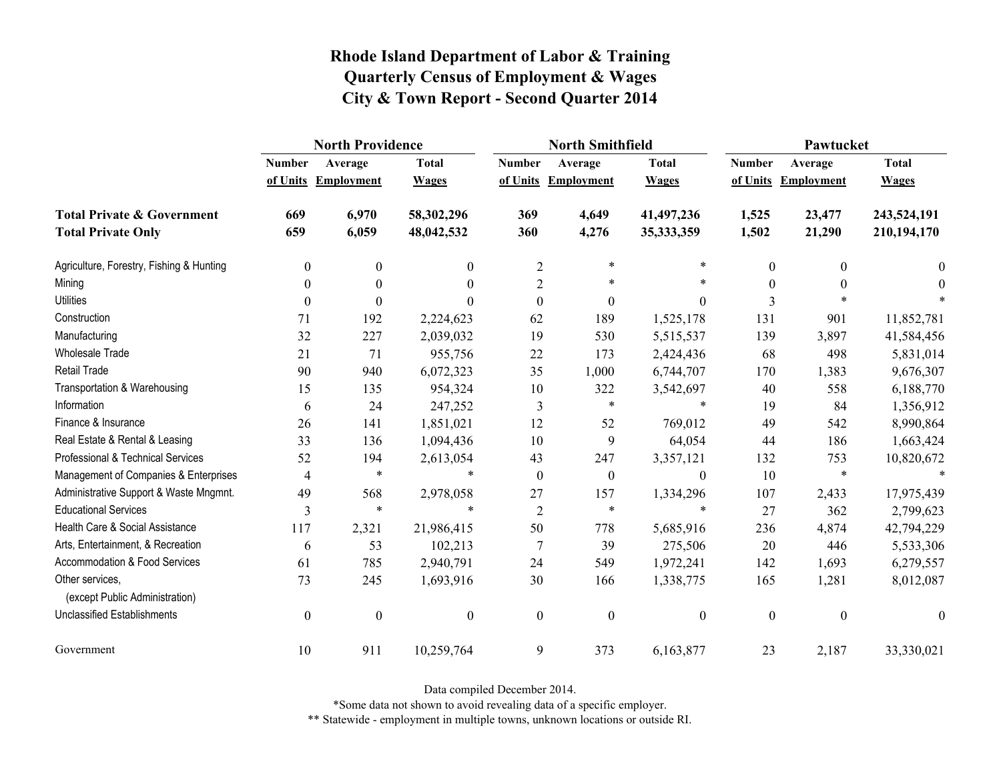|                                                   | <b>North Providence</b>  |                     |                  |                  | <b>North Smithfield</b> |                  | Pawtucket        |                     |                  |
|---------------------------------------------------|--------------------------|---------------------|------------------|------------------|-------------------------|------------------|------------------|---------------------|------------------|
|                                                   | <b>Number</b>            | Average             | <b>Total</b>     | <b>Number</b>    | Average                 | <b>Total</b>     | <b>Number</b>    | Average             | <b>Total</b>     |
|                                                   |                          | of Units Employment | <b>Wages</b>     |                  | of Units Employment     | <b>Wages</b>     |                  | of Units Employment | <b>Wages</b>     |
| <b>Total Private &amp; Government</b>             | 669                      | 6,970               | 58,302,296       | 369              | 4,649                   | 41,497,236       | 1,525            | 23,477              | 243,524,191      |
| <b>Total Private Only</b>                         | 659                      | 6,059               | 48,042,532       | 360              | 4,276                   | 35,333,359       | 1,502            | 21,290              | 210,194,170      |
| Agriculture, Forestry, Fishing & Hunting          | $\boldsymbol{0}$         | $\boldsymbol{0}$    | $\boldsymbol{0}$ | $\overline{2}$   | $\ast$                  | $\ast$           | $\boldsymbol{0}$ | $\Omega$            | 0                |
| Mining                                            | $\theta$                 | $\boldsymbol{0}$    | $\theta$         | $\overline{c}$   | $\ast$                  | $\ast$           | $\boldsymbol{0}$ | $\theta$            | $\theta$         |
| <b>Utilities</b>                                  | $\theta$                 | $\mathbf{0}$        | 0                | $\boldsymbol{0}$ | $\boldsymbol{0}$        | $\theta$         | 3                |                     |                  |
| Construction                                      | 71                       | 192                 | 2,224,623        | 62               | 189                     | 1,525,178        | 131              | 901                 | 11,852,781       |
| Manufacturing                                     | 32                       | 227                 | 2,039,032        | 19               | 530                     | 5,515,537        | 139              | 3,897               | 41,584,456       |
| <b>Wholesale Trade</b>                            | 21                       | 71                  | 955,756          | 22               | 173                     | 2,424,436        | 68               | 498                 | 5,831,014        |
| <b>Retail Trade</b>                               | 90                       | 940                 | 6,072,323        | 35               | 1,000                   | 6,744,707        | 170              | 1,383               | 9,676,307        |
| Transportation & Warehousing                      | 15                       | 135                 | 954,324          | 10               | 322                     | 3,542,697        | 40               | 558                 | 6,188,770        |
| Information                                       | 6                        | 24                  | 247,252          | 3                | $\ast$                  | $\ast$           | 19               | 84                  | 1,356,912        |
| Finance & Insurance                               | 26                       | 141                 | 1,851,021        | 12               | 52                      | 769,012          | 49               | 542                 | 8,990,864        |
| Real Estate & Rental & Leasing                    | 33                       | 136                 | 1,094,436        | 10               | 9                       | 64,054           | 44               | 186                 | 1,663,424        |
| Professional & Technical Services                 | 52                       | 194                 | 2,613,054        | 43               | 247                     | 3,357,121        | 132              | 753                 | 10,820,672       |
| Management of Companies & Enterprises             | $\overline{\mathcal{A}}$ | $\ast$              | $\ast$           | $\boldsymbol{0}$ | $\boldsymbol{0}$        | $\boldsymbol{0}$ | 10               | $\ast$              | $\ast$           |
| Administrative Support & Waste Mngmnt.            | 49                       | 568                 | 2,978,058        | 27               | 157                     | 1,334,296        | 107              | 2,433               | 17,975,439       |
| <b>Educational Services</b>                       | 3                        | $\ast$              | $\ast$           | $\overline{2}$   | $\ast$                  | $\ast$           | 27               | 362                 | 2,799,623        |
| Health Care & Social Assistance                   | 117                      | 2,321               | 21,986,415       | 50               | 778                     | 5,685,916        | 236              | 4,874               | 42,794,229       |
| Arts, Entertainment, & Recreation                 | 6                        | 53                  | 102,213          | $\overline{7}$   | 39                      | 275,506          | 20               | 446                 | 5,533,306        |
| <b>Accommodation &amp; Food Services</b>          | 61                       | 785                 | 2,940,791        | 24               | 549                     | 1,972,241        | 142              | 1,693               | 6,279,557        |
| Other services,<br>(except Public Administration) | 73                       | 245                 | 1,693,916        | 30               | 166                     | 1,338,775        | 165              | 1,281               | 8,012,087        |
| <b>Unclassified Establishments</b>                | $\boldsymbol{0}$         | $\boldsymbol{0}$    | $\boldsymbol{0}$ | $\boldsymbol{0}$ | $\boldsymbol{0}$        | $\boldsymbol{0}$ | $\mathbf{0}$     | $\mathbf{0}$        | $\boldsymbol{0}$ |
| Government                                        | 10                       | 911                 | 10,259,764       | 9                | 373                     | 6,163,877        | 23               | 2,187               | 33,330,021       |

Data compiled December 2014.

\*Some data not shown to avoid revealing data of a specific employer.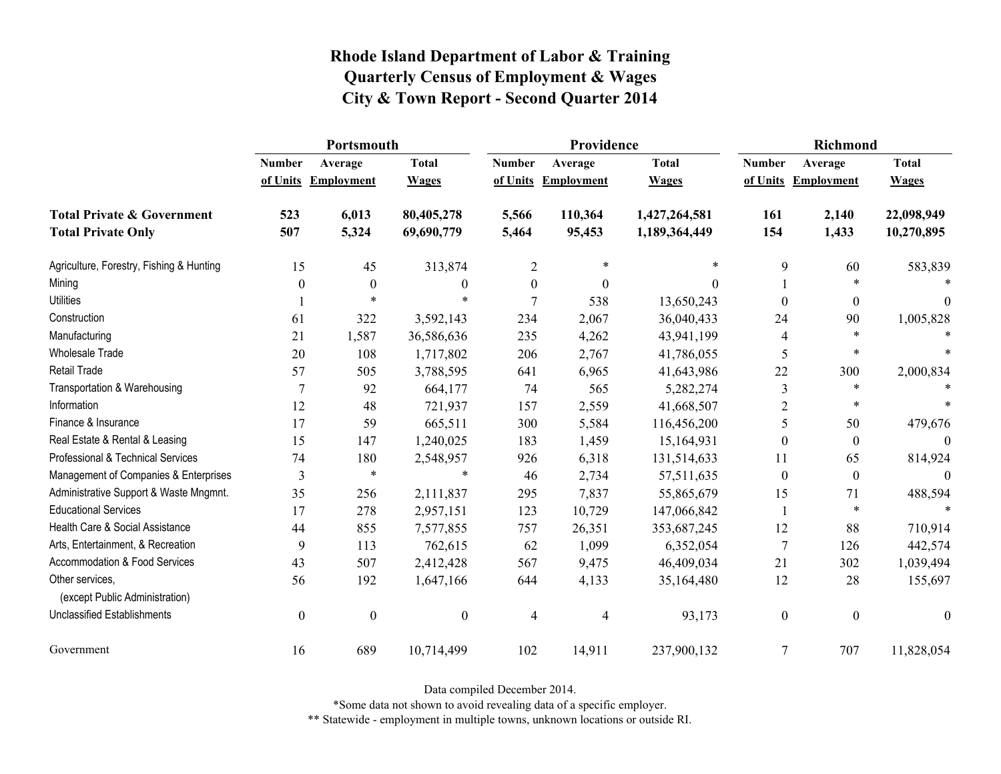|                                                   | Portsmouth       |                     |                  |                  | Providence          |               | <b>Richmond</b>  |                     |                  |
|---------------------------------------------------|------------------|---------------------|------------------|------------------|---------------------|---------------|------------------|---------------------|------------------|
|                                                   | <b>Number</b>    | Average             | <b>Total</b>     | <b>Number</b>    | Average             | <b>Total</b>  | <b>Number</b>    | Average             | <b>Total</b>     |
|                                                   |                  | of Units Employment | <b>Wages</b>     |                  | of Units Employment | <b>Wages</b>  |                  | of Units Employment | <b>Wages</b>     |
| <b>Total Private &amp; Government</b>             | 523              | 6,013               | 80,405,278       | 5,566            | 110,364             | 1,427,264,581 | 161              | 2,140               | 22,098,949       |
| <b>Total Private Only</b>                         | 507              | 5,324               | 69,690,779       | 5,464            | 95,453              | 1,189,364,449 | 154              | 1,433               | 10,270,895       |
| Agriculture, Forestry, Fishing & Hunting          | 15               | 45                  | 313,874          | $\overline{2}$   | *                   | $\ast$        | 9                | 60                  | 583,839          |
| Mining                                            | 0                | $\mathbf{0}$        | $\boldsymbol{0}$ | $\boldsymbol{0}$ | $\boldsymbol{0}$    | $\theta$      |                  | $\ast$              |                  |
| <b>Utilities</b>                                  |                  | $\ast$              | $\ast$           | 7                | 538                 | 13,650,243    | $\Omega$         | $\theta$            | $\Omega$         |
| Construction                                      | 61               | 322                 | 3,592,143        | 234              | 2,067               | 36,040,433    | 24               | 90                  | 1,005,828        |
| Manufacturing                                     | 21               | 1,587               | 36,586,636       | 235              | 4,262               | 43,941,199    | 4                | $\ast$              |                  |
| <b>Wholesale Trade</b>                            | 20               | 108                 | 1,717,802        | 206              | 2,767               | 41,786,055    | 5                | $\ast$              |                  |
| <b>Retail Trade</b>                               | 57               | 505                 | 3,788,595        | 641              | 6,965               | 41,643,986    | 22               | 300                 | 2,000,834        |
| Transportation & Warehousing                      | $\tau$           | 92                  | 664,177          | 74               | 565                 | 5,282,274     | $\mathfrak{Z}$   | $\ast$              |                  |
| Information                                       | 12               | 48                  | 721,937          | 157              | 2,559               | 41,668,507    | $\overline{2}$   | $\ast$              |                  |
| Finance & Insurance                               | 17               | 59                  | 665,511          | 300              | 5,584               | 116,456,200   | 5                | 50                  | 479,676          |
| Real Estate & Rental & Leasing                    | 15               | 147                 | 1,240,025        | 183              | 1,459               | 15,164,931    | $\Omega$         | $\theta$            | $\Omega$         |
| Professional & Technical Services                 | 74               | 180                 | 2,548,957        | 926              | 6,318               | 131,514,633   | 11               | 65                  | 814,924          |
| Management of Companies & Enterprises             | 3                | $\ast$              | $\ast$           | 46               | 2,734               | 57,511,635    | $\theta$         | $\boldsymbol{0}$    | $\theta$         |
| Administrative Support & Waste Mngmnt.            | 35               | 256                 | 2,111,837        | 295              | 7,837               | 55,865,679    | 15               | 71                  | 488,594          |
| <b>Educational Services</b>                       | 17               | 278                 | 2,957,151        | 123              | 10,729              | 147,066,842   |                  | $\ast$              | $\ast$           |
| Health Care & Social Assistance                   | 44               | 855                 | 7,577,855        | 757              | 26,351              | 353,687,245   | 12               | 88                  | 710,914          |
| Arts, Entertainment, & Recreation                 | 9                | 113                 | 762,615          | 62               | 1,099               | 6,352,054     | $\overline{7}$   | 126                 | 442,574          |
| Accommodation & Food Services                     | 43               | 507                 | 2,412,428        | 567              | 9,475               | 46,409,034    | 21               | 302                 | 1,039,494        |
| Other services,<br>(except Public Administration) | 56               | 192                 | 1,647,166        | 644              | 4,133               | 35,164,480    | 12               | 28                  | 155,697          |
| <b>Unclassified Establishments</b>                | $\boldsymbol{0}$ | $\boldsymbol{0}$    | $\boldsymbol{0}$ | $\overline{4}$   | 4                   | 93,173        | $\boldsymbol{0}$ | $\boldsymbol{0}$    | $\boldsymbol{0}$ |
| Government                                        | 16               | 689                 | 10,714,499       | 102              | 14,911              | 237,900,132   | 7                | 707                 | 11,828,054       |

Data compiled December 2014.

\*Some data not shown to avoid revealing data of a specific employer.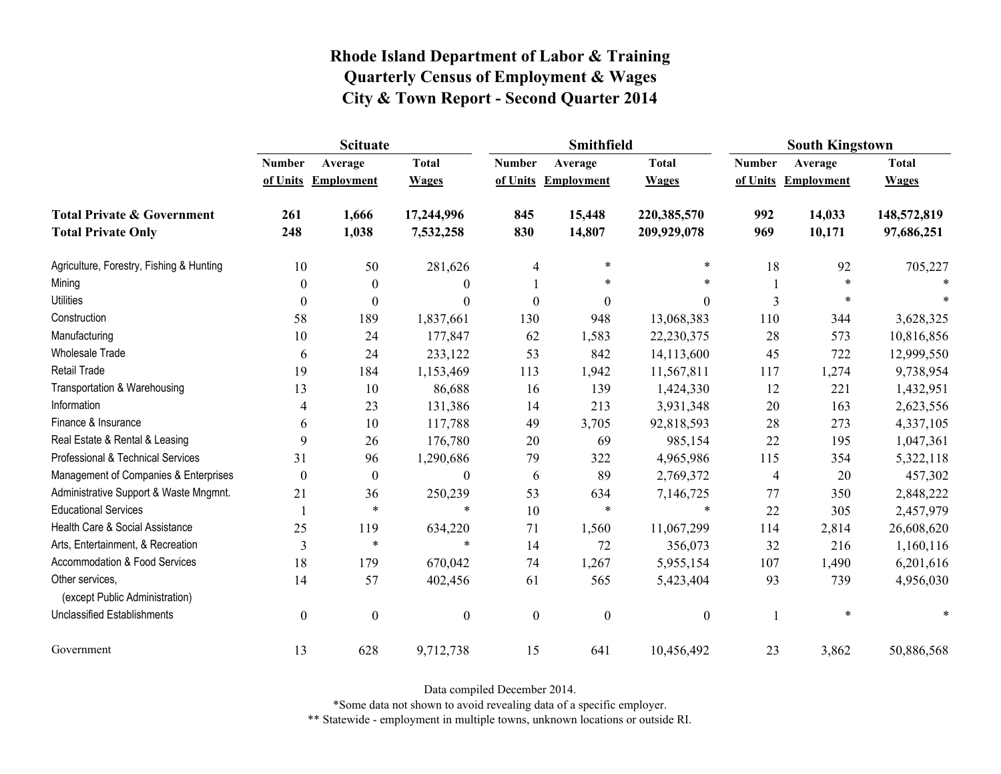|                                                   | <b>Scituate</b>  |                     |                  |                  | Smithfield        |                  | <b>South Kingstown</b> |                     |              |
|---------------------------------------------------|------------------|---------------------|------------------|------------------|-------------------|------------------|------------------------|---------------------|--------------|
|                                                   | <b>Number</b>    | Average             | <b>Total</b>     | <b>Number</b>    | Average           | <b>Total</b>     | <b>Number</b>          | Average             | <b>Total</b> |
|                                                   |                  | of Units Employment | <b>Wages</b>     | of Units         | <b>Employment</b> | <b>Wages</b>     |                        | of Units Employment | <b>Wages</b> |
| <b>Total Private &amp; Government</b>             | 261              | 1,666               | 17,244,996       | 845              | 15,448            | 220,385,570      | 992                    | 14,033              | 148,572,819  |
| <b>Total Private Only</b>                         | 248              | 1,038               | 7,532,258        | 830              | 14,807            | 209,929,078      | 969                    | 10,171              | 97,686,251   |
| Agriculture, Forestry, Fishing & Hunting          | 10               | 50                  | 281,626          | 4                | $\ast$            | $\ast$           | 18                     | 92                  | 705,227      |
| Mining                                            | $\theta$         | $\theta$            | $\theta$         |                  | *                 | $\ast$           |                        | $\ast$              |              |
| <b>Utilities</b>                                  | $\theta$         | $\boldsymbol{0}$    | $\boldsymbol{0}$ | $\boldsymbol{0}$ | $\boldsymbol{0}$  | $\boldsymbol{0}$ | $\overline{3}$         | $\ast$              |              |
| Construction                                      | 58               | 189                 | 1,837,661        | 130              | 948               | 13,068,383       | 110                    | 344                 | 3,628,325    |
| Manufacturing                                     | 10               | 24                  | 177,847          | 62               | 1,583             | 22,230,375       | 28                     | 573                 | 10,816,856   |
| Wholesale Trade                                   | 6                | 24                  | 233,122          | 53               | 842               | 14,113,600       | 45                     | 722                 | 12,999,550   |
| Retail Trade                                      | 19               | 184                 | 1,153,469        | 113              | 1,942             | 11,567,811       | 117                    | 1,274               | 9,738,954    |
| Transportation & Warehousing                      | 13               | 10                  | 86,688           | 16               | 139               | 1,424,330        | 12                     | 221                 | 1,432,951    |
| Information                                       | 4                | 23                  | 131,386          | 14               | 213               | 3,931,348        | 20                     | 163                 | 2,623,556    |
| Finance & Insurance                               | 6                | 10                  | 117,788          | 49               | 3,705             | 92,818,593       | 28                     | 273                 | 4,337,105    |
| Real Estate & Rental & Leasing                    | 9                | 26                  | 176,780          | 20               | 69                | 985,154          | 22                     | 195                 | 1,047,361    |
| Professional & Technical Services                 | 31               | 96                  | 1,290,686        | 79               | 322               | 4,965,986        | 115                    | 354                 | 5,322,118    |
| Management of Companies & Enterprises             | $\theta$         | $\theta$            | $\boldsymbol{0}$ | 6                | 89                | 2,769,372        | 4                      | 20                  | 457,302      |
| Administrative Support & Waste Mngmnt.            | 21               | 36                  | 250,239          | 53               | 634               | 7,146,725        | 77                     | 350                 | 2,848,222    |
| <b>Educational Services</b>                       |                  | $\ast$              | $\ast$           | 10               | $\ast$            | $\ast$           | 22                     | 305                 | 2,457,979    |
| Health Care & Social Assistance                   | 25               | 119                 | 634,220          | 71               | 1,560             | 11,067,299       | 114                    | 2,814               | 26,608,620   |
| Arts, Entertainment, & Recreation                 | 3                | $\ast$              | $\ast$           | 14               | 72                | 356,073          | 32                     | 216                 | 1,160,116    |
| <b>Accommodation &amp; Food Services</b>          | 18               | 179                 | 670,042          | 74               | 1,267             | 5,955,154        | 107                    | 1,490               | 6,201,616    |
| Other services,<br>(except Public Administration) | 14               | 57                  | 402,456          | 61               | 565               | 5,423,404        | 93                     | 739                 | 4,956,030    |
| <b>Unclassified Establishments</b>                | $\boldsymbol{0}$ | $\boldsymbol{0}$    | $\boldsymbol{0}$ | $\boldsymbol{0}$ | $\boldsymbol{0}$  | $\boldsymbol{0}$ |                        | $\ast$              |              |
| Government                                        | 13               | 628                 | 9,712,738        | 15               | 641               | 10,456,492       | 23                     | 3,862               | 50,886,568   |

Data compiled December 2014.

\*Some data not shown to avoid revealing data of a specific employer.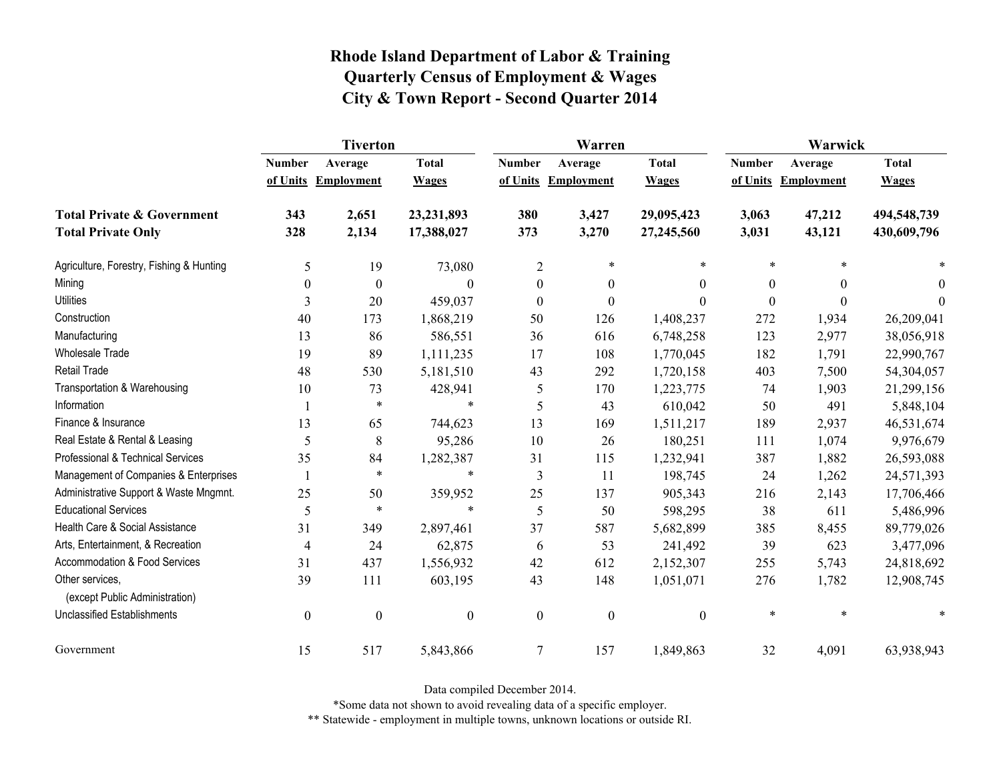|                                                   | <b>Tiverton</b>  |                     |                  |                  | Warren              |                  | Warwick          |                     |                |
|---------------------------------------------------|------------------|---------------------|------------------|------------------|---------------------|------------------|------------------|---------------------|----------------|
|                                                   | <b>Number</b>    | Average             | <b>Total</b>     | <b>Number</b>    | Average             | <b>Total</b>     | <b>Number</b>    | Average             | <b>Total</b>   |
|                                                   |                  | of Units Employment | <b>Wages</b>     |                  | of Units Employment | <b>Wages</b>     |                  | of Units Employment | <b>Wages</b>   |
| <b>Total Private &amp; Government</b>             | 343              | 2,651               | 23,231,893       | 380              | 3,427               | 29,095,423       | 3,063            | 47,212              | 494,548,739    |
| <b>Total Private Only</b>                         | 328              | 2,134               | 17,388,027       | 373              | 3,270               | 27,245,560       | 3,031            | 43,121              | 430,609,796    |
| Agriculture, Forestry, Fishing & Hunting          | 5                | 19                  | 73,080           | $\sqrt{2}$       | $\ast$              | $\ast$           | $\ast$           |                     |                |
| Mining                                            | $\theta$         | $\boldsymbol{0}$    | $\Omega$         | $\boldsymbol{0}$ | $\boldsymbol{0}$    | $\boldsymbol{0}$ | $\theta$         | 0                   | $\theta$       |
| <b>Utilities</b>                                  | 3                | 20                  | 459,037          | $\boldsymbol{0}$ | $\boldsymbol{0}$    | $\boldsymbol{0}$ | $\boldsymbol{0}$ | $\theta$            | $\overline{0}$ |
| Construction                                      | 40               | 173                 | 1,868,219        | 50               | 126                 | 1,408,237        | 272              | 1,934               | 26,209,041     |
| Manufacturing                                     | 13               | 86                  | 586,551          | 36               | 616                 | 6,748,258        | 123              | 2,977               | 38,056,918     |
| <b>Wholesale Trade</b>                            | 19               | 89                  | 1,111,235        | 17               | 108                 | 1,770,045        | 182              | 1,791               | 22,990,767     |
| <b>Retail Trade</b>                               | 48               | 530                 | 5,181,510        | 43               | 292                 | 1,720,158        | 403              | 7,500               | 54,304,057     |
| Transportation & Warehousing                      | 10               | 73                  | 428,941          | 5                | 170                 | 1,223,775        | 74               | 1,903               | 21,299,156     |
| Information                                       |                  | $\ast$              | $\ast$           | 5                | 43                  | 610,042          | 50               | 491                 | 5,848,104      |
| Finance & Insurance                               | 13               | 65                  | 744,623          | 13               | 169                 | 1,511,217        | 189              | 2,937               | 46,531,674     |
| Real Estate & Rental & Leasing                    | 5                | $8\,$               | 95,286           | 10               | 26                  | 180,251          | 111              | 1,074               | 9,976,679      |
| Professional & Technical Services                 | 35               | 84                  | 1,282,387        | 31               | 115                 | 1,232,941        | 387              | 1,882               | 26,593,088     |
| Management of Companies & Enterprises             |                  | $\ast$              | $\ast$           | 3                | 11                  | 198,745          | 24               | 1,262               | 24,571,393     |
| Administrative Support & Waste Mngmnt.            | 25               | 50                  | 359,952          | 25               | 137                 | 905,343          | 216              | 2,143               | 17,706,466     |
| <b>Educational Services</b>                       | 5                | $\ast$              | $\ast$           | 5                | 50                  | 598,295          | 38               | 611                 | 5,486,996      |
| Health Care & Social Assistance                   | 31               | 349                 | 2,897,461        | 37               | 587                 | 5,682,899        | 385              | 8,455               | 89,779,026     |
| Arts, Entertainment, & Recreation                 | $\overline{4}$   | 24                  | 62,875           | 6                | 53                  | 241,492          | 39               | 623                 | 3,477,096      |
| Accommodation & Food Services                     | 31               | 437                 | 1,556,932        | 42               | 612                 | 2,152,307        | 255              | 5,743               | 24,818,692     |
| Other services,<br>(except Public Administration) | 39               | 111                 | 603,195          | 43               | 148                 | 1,051,071        | 276              | 1,782               | 12,908,745     |
| <b>Unclassified Establishments</b>                | $\boldsymbol{0}$ | $\boldsymbol{0}$    | $\boldsymbol{0}$ | $\boldsymbol{0}$ | $\boldsymbol{0}$    | $\boldsymbol{0}$ | $\ast$           | $\ast$              |                |
| Government                                        | 15               | 517                 | 5,843,866        | $\overline{7}$   | 157                 | 1,849,863        | 32               | 4,091               | 63,938,943     |

Data compiled December 2014.

\*Some data not shown to avoid revealing data of a specific employer.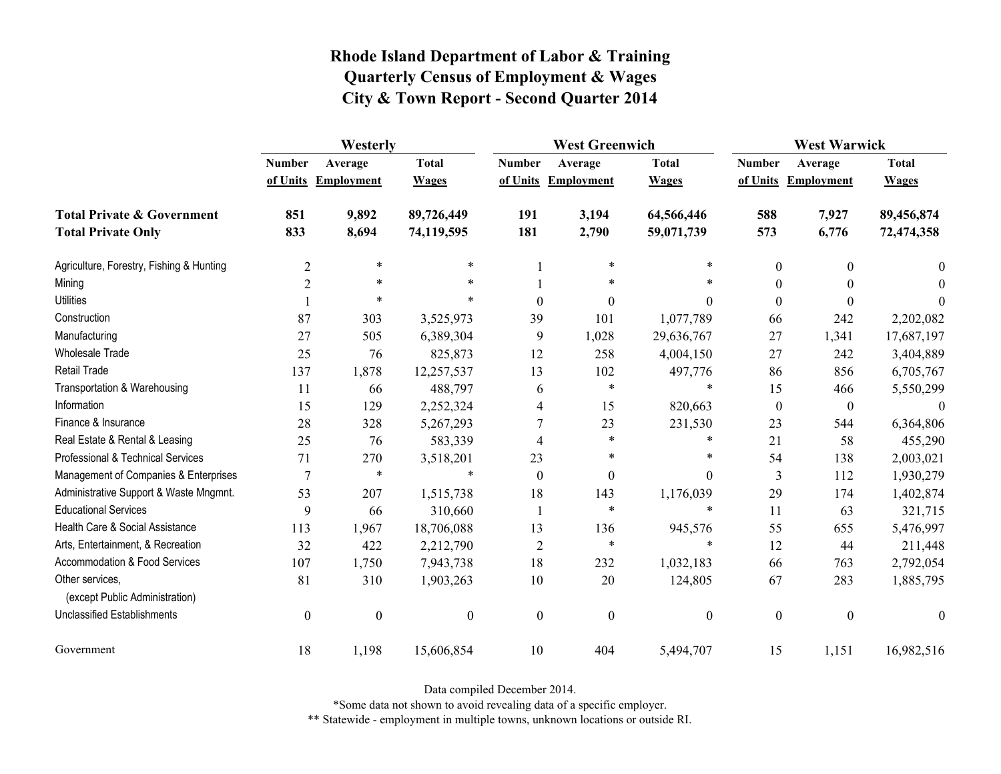|                                                   | Westerly         |                  |                  |                  | <b>West Greenwich</b> |                  | <b>West Warwick</b> |                     |                  |
|---------------------------------------------------|------------------|------------------|------------------|------------------|-----------------------|------------------|---------------------|---------------------|------------------|
|                                                   | <b>Number</b>    | Average          | <b>Total</b>     | <b>Number</b>    | Average               | <b>Total</b>     | <b>Number</b>       | Average             | <b>Total</b>     |
|                                                   | of Units         | Employment       | <b>Wages</b>     |                  | of Units Employment   | <b>Wages</b>     |                     | of Units Employment | <b>Wages</b>     |
| <b>Total Private &amp; Government</b>             | 851              | 9,892            | 89,726,449       | 191              | 3,194                 | 64,566,446       | 588                 | 7,927               | 89,456,874       |
| <b>Total Private Only</b>                         | 833              | 8,694            | 74,119,595       | 181              | 2,790                 | 59,071,739       | 573                 | 6,776               | 72,474,358       |
| Agriculture, Forestry, Fishing & Hunting          | $\overline{2}$   | $\ast$           | $\ast$           |                  | $\ast$                | $\ast$           | $\theta$            | $\theta$            | $\theta$         |
| Mining                                            | $\overline{2}$   | $\ast$           | $\ast$           |                  | $\ast$                |                  | $\theta$            | 0                   | 0                |
| <b>Utilities</b>                                  |                  | $\ast$           | $\ast$           | $\boldsymbol{0}$ | $\theta$              | $\theta$         | $\theta$            | $\theta$            | 0                |
| Construction                                      | 87               | 303              | 3,525,973        | 39               | 101                   | 1,077,789        | 66                  | 242                 | 2,202,082        |
| Manufacturing                                     | 27               | 505              | 6,389,304        | 9                | 1,028                 | 29,636,767       | 27                  | 1,341               | 17,687,197       |
| <b>Wholesale Trade</b>                            | 25               | 76               | 825,873          | 12               | 258                   | 4,004,150        | 27                  | 242                 | 3,404,889        |
| Retail Trade                                      | 137              | 1,878            | 12,257,537       | 13               | 102                   | 497,776          | 86                  | 856                 | 6,705,767        |
| Transportation & Warehousing                      | 11               | 66               | 488,797          | 6                | $\ast$                | $\ast$           | 15                  | 466                 | 5,550,299        |
| Information                                       | 15               | 129              | 2,252,324        | 4                | 15                    | 820,663          | $\mathbf{0}$        | $\boldsymbol{0}$    | $\Omega$         |
| Finance & Insurance                               | 28               | 328              | 5,267,293        | 7                | 23                    | 231,530          | 23                  | 544                 | 6,364,806        |
| Real Estate & Rental & Leasing                    | 25               | 76               | 583,339          | 4                | $\ast$                | *                | 21                  | 58                  | 455,290          |
| Professional & Technical Services                 | 71               | 270              | 3,518,201        | 23               | $\ast$                | $\ast$           | 54                  | 138                 | 2,003,021        |
| Management of Companies & Enterprises             | $\overline{7}$   | $\ast$           | $\ast$           | $\boldsymbol{0}$ | $\boldsymbol{0}$      | $\theta$         | $\overline{3}$      | 112                 | 1,930,279        |
| Administrative Support & Waste Mngmnt.            | 53               | 207              | 1,515,738        | 18               | 143                   | 1,176,039        | 29                  | 174                 | 1,402,874        |
| <b>Educational Services</b>                       | 9                | 66               | 310,660          | 1                | $\ast$                | $\ast$           | 11                  | 63                  | 321,715          |
| Health Care & Social Assistance                   | 113              | 1,967            | 18,706,088       | 13               | 136                   | 945,576          | 55                  | 655                 | 5,476,997        |
| Arts, Entertainment, & Recreation                 | 32               | 422              | 2,212,790        | $\overline{2}$   | $\ast$                | $\ast$           | 12                  | 44                  | 211,448          |
| Accommodation & Food Services                     | 107              | 1,750            | 7,943,738        | 18               | 232                   | 1,032,183        | 66                  | 763                 | 2,792,054        |
| Other services.<br>(except Public Administration) | 81               | 310              | 1,903,263        | 10               | 20                    | 124,805          | 67                  | 283                 | 1,885,795        |
| <b>Unclassified Establishments</b>                | $\boldsymbol{0}$ | $\boldsymbol{0}$ | $\boldsymbol{0}$ | $\boldsymbol{0}$ | $\boldsymbol{0}$      | $\boldsymbol{0}$ | $\boldsymbol{0}$    | $\boldsymbol{0}$    | $\boldsymbol{0}$ |
| Government                                        | 18               | 1,198            | 15,606,854       | 10               | 404                   | 5,494,707        | 15                  | 1,151               | 16,982,516       |

Data compiled December 2014.

\*Some data not shown to avoid revealing data of a specific employer.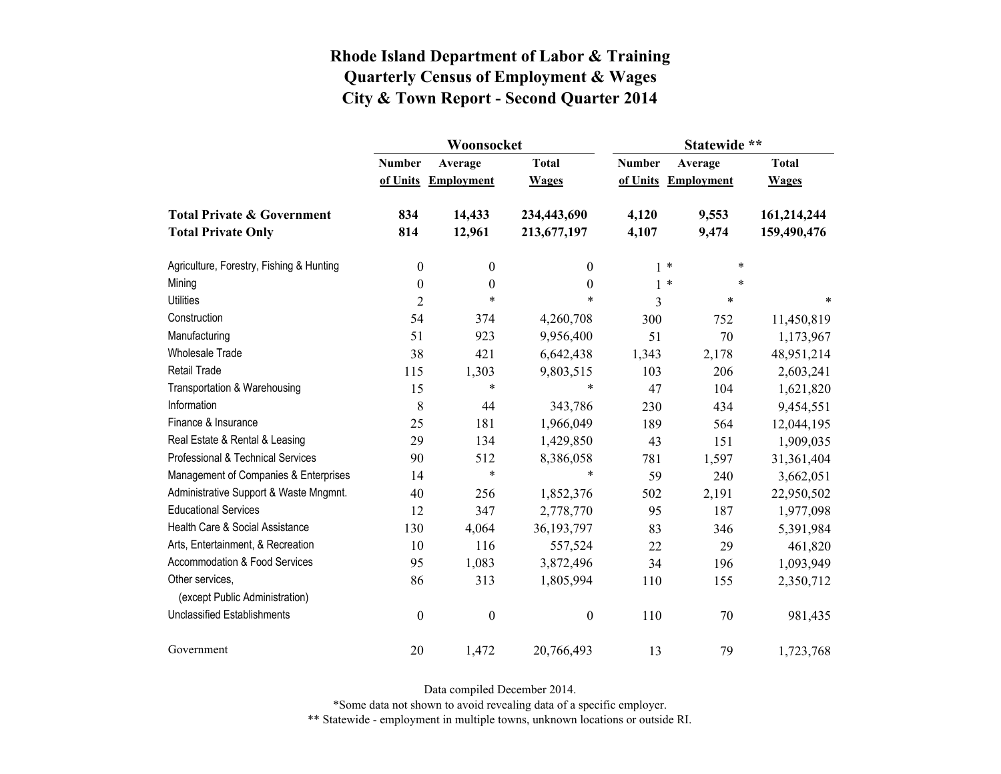|                                          |                  | Woonsocket        |                  | Statewide **  |                   |              |  |
|------------------------------------------|------------------|-------------------|------------------|---------------|-------------------|--------------|--|
|                                          | <b>Number</b>    | Average           | <b>Total</b>     | <b>Number</b> | Average           | <b>Total</b> |  |
|                                          | of Units         | <b>Employment</b> | <b>Wages</b>     | of Units      | <b>Employment</b> | <b>Wages</b> |  |
| <b>Total Private &amp; Government</b>    | 834              | 14,433            | 234,443,690      | 4,120         | 9,553             | 161,214,244  |  |
| <b>Total Private Only</b>                | 814              | 12,961            | 213,677,197      | 4,107         | 9,474             | 159,490,476  |  |
| Agriculture, Forestry, Fishing & Hunting | $\boldsymbol{0}$ | $\boldsymbol{0}$  | $\overline{0}$   |               | $1 *$<br>*        |              |  |
| Mining                                   | $\boldsymbol{0}$ | $\boldsymbol{0}$  | $\boldsymbol{0}$ |               | $1 *$<br>$\ast$   |              |  |
| <b>Utilities</b>                         | $\overline{2}$   | $\ast$            | $\ast$           | 3             | $\ast$            |              |  |
| Construction                             | 54               | 374               | 4,260,708        | 300           | 752               | 11,450,819   |  |
| Manufacturing                            | 51               | 923               | 9,956,400        | 51            | 70                | 1,173,967    |  |
| <b>Wholesale Trade</b>                   | 38               | 421               | 6,642,438        | 1,343         | 2,178             | 48,951,214   |  |
| <b>Retail Trade</b>                      | 115              | 1,303             | 9,803,515        | 103           | 206               | 2,603,241    |  |
| Transportation & Warehousing             | 15               | $\ast$            | $\ast$           | 47            | 104               | 1,621,820    |  |
| Information                              | 8                | 44                | 343,786          | 230           | 434               | 9,454,551    |  |
| Finance & Insurance                      | 25               | 181               | 1,966,049        | 189           | 564               | 12,044,195   |  |
| Real Estate & Rental & Leasing           | 29               | 134               | 1,429,850        | 43            | 151               | 1,909,035    |  |
| Professional & Technical Services        | 90               | 512               | 8,386,058        | 781           | 1,597             | 31,361,404   |  |
| Management of Companies & Enterprises    | 14               | $\ast$            | $\ast$           | 59            | 240               | 3,662,051    |  |
| Administrative Support & Waste Mngmnt.   | 40               | 256               | 1,852,376        | 502           | 2,191             | 22,950,502   |  |
| <b>Educational Services</b>              | 12               | 347               | 2,778,770        | 95            | 187               | 1,977,098    |  |
| Health Care & Social Assistance          | 130              | 4,064             | 36,193,797       | 83            | 346               | 5,391,984    |  |
| Arts, Entertainment, & Recreation        | 10               | 116               | 557,524          | 22            | 29                | 461,820      |  |
| Accommodation & Food Services            | 95               | 1,083             | 3,872,496        | 34            | 196               | 1,093,949    |  |
| Other services,                          | 86               | 313               | 1,805,994        | 110           | 155               | 2,350,712    |  |
| (except Public Administration)           |                  |                   |                  |               |                   |              |  |
| <b>Unclassified Establishments</b>       | $\boldsymbol{0}$ | $\boldsymbol{0}$  | $\boldsymbol{0}$ | 110           | 70                | 981,435      |  |
| Government                               | 20               | 1,472             | 20,766,493       | 13            | 79                | 1,723,768    |  |

Data compiled December 2014.

\*Some data not shown to avoid revealing data of a specific employer.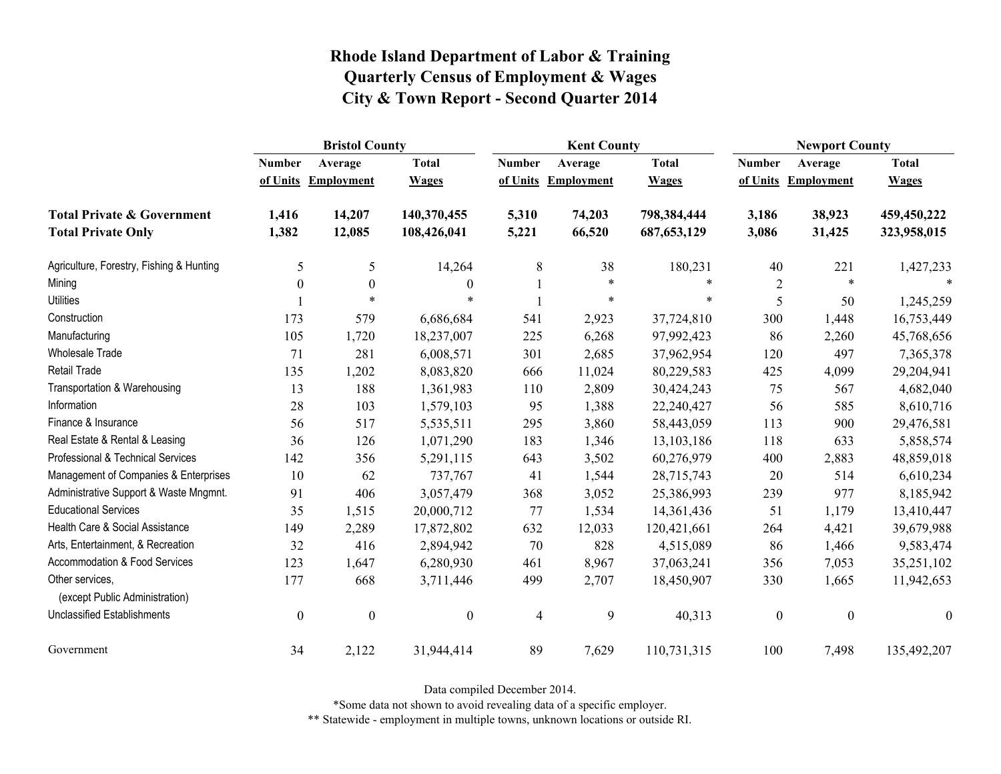|                                                   | <b>Bristol County</b> |                   |                  |                | <b>Kent County</b> |               |                  | <b>Newport County</b> |                  |  |
|---------------------------------------------------|-----------------------|-------------------|------------------|----------------|--------------------|---------------|------------------|-----------------------|------------------|--|
|                                                   | <b>Number</b>         | Average           | <b>Total</b>     | <b>Number</b>  | Average            | <b>Total</b>  | <b>Number</b>    | Average               | <b>Total</b>     |  |
|                                                   | of Units              | <b>Employment</b> | <b>Wages</b>     | of Units       | <b>Employment</b>  | <b>Wages</b>  | of Units         | <b>Employment</b>     | <b>Wages</b>     |  |
| <b>Total Private &amp; Government</b>             | 1,416                 | 14,207            | 140,370,455      | 5,310          | 74,203             | 798,384,444   | 3,186            | 38,923                | 459,450,222      |  |
| <b>Total Private Only</b>                         | 1,382                 | 12,085            | 108,426,041      | 5,221          | 66,520             | 687, 653, 129 | 3,086            | 31,425                | 323,958,015      |  |
| Agriculture, Forestry, Fishing & Hunting          | 5                     | 5                 | 14,264           | 8              | 38                 | 180,231       | 40               | 221                   | 1,427,233        |  |
| Mining                                            | $\overline{0}$        | $\boldsymbol{0}$  | 0                |                | $\ast$             | $\ast$        | $\overline{2}$   | $\ast$                | $\ast$           |  |
| <b>Utilities</b>                                  |                       | $\ast$            | $\ast$           |                | $\ast$             | $\ast$        | 5                | 50                    | 1,245,259        |  |
| Construction                                      | 173                   | 579               | 6,686,684        | 541            | 2,923              | 37,724,810    | 300              | 1,448                 | 16,753,449       |  |
| Manufacturing                                     | 105                   | 1,720             | 18,237,007       | 225            | 6,268              | 97,992,423    | 86               | 2,260                 | 45,768,656       |  |
| Wholesale Trade                                   | 71                    | 281               | 6,008,571        | 301            | 2,685              | 37,962,954    | 120              | 497                   | 7,365,378        |  |
| <b>Retail Trade</b>                               | 135                   | 1,202             | 8,083,820        | 666            | 11,024             | 80,229,583    | 425              | 4,099                 | 29,204,941       |  |
| Transportation & Warehousing                      | 13                    | 188               | 1,361,983        | 110            | 2,809              | 30,424,243    | 75               | 567                   | 4,682,040        |  |
| Information                                       | 28                    | 103               | 1,579,103        | 95             | 1,388              | 22,240,427    | 56               | 585                   | 8,610,716        |  |
| Finance & Insurance                               | 56                    | 517               | 5,535,511        | 295            | 3,860              | 58,443,059    | 113              | 900                   | 29,476,581       |  |
| Real Estate & Rental & Leasing                    | 36                    | 126               | 1,071,290        | 183            | 1,346              | 13, 103, 186  | 118              | 633                   | 5,858,574        |  |
| Professional & Technical Services                 | 142                   | 356               | 5,291,115        | 643            | 3,502              | 60,276,979    | 400              | 2,883                 | 48,859,018       |  |
| Management of Companies & Enterprises             | 10                    | 62                | 737,767          | 41             | 1,544              | 28,715,743    | 20               | 514                   | 6,610,234        |  |
| Administrative Support & Waste Mngmnt.            | 91                    | 406               | 3,057,479        | 368            | 3,052              | 25,386,993    | 239              | 977                   | 8,185,942        |  |
| <b>Educational Services</b>                       | 35                    | 1,515             | 20,000,712       | 77             | 1,534              | 14,361,436    | 51               | 1,179                 | 13,410,447       |  |
| Health Care & Social Assistance                   | 149                   | 2,289             | 17,872,802       | 632            | 12,033             | 120,421,661   | 264              | 4,421                 | 39,679,988       |  |
| Arts, Entertainment, & Recreation                 | 32                    | 416               | 2,894,942        | 70             | 828                | 4,515,089     | 86               | 1,466                 | 9,583,474        |  |
| Accommodation & Food Services                     | 123                   | 1,647             | 6,280,930        | 461            | 8,967              | 37,063,241    | 356              | 7,053                 | 35,251,102       |  |
| Other services,<br>(except Public Administration) | 177                   | 668               | 3,711,446        | 499            | 2,707              | 18,450,907    | 330              | 1,665                 | 11,942,653       |  |
| <b>Unclassified Establishments</b>                | $\boldsymbol{0}$      | $\boldsymbol{0}$  | $\boldsymbol{0}$ | $\overline{4}$ | 9                  | 40,313        | $\boldsymbol{0}$ | $\boldsymbol{0}$      | $\boldsymbol{0}$ |  |
| Government                                        | 34                    | 2,122             | 31,944,414       | 89             | 7,629              | 110,731,315   | 100              | 7,498                 | 135,492,207      |  |

Data compiled December 2014.

\*Some data not shown to avoid revealing data of a specific employer.